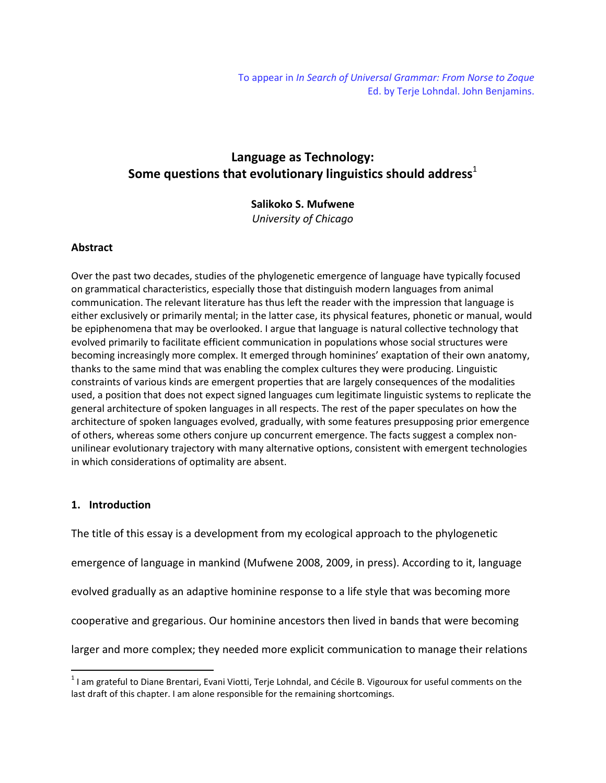# **Language as Technology: Some questions that evolutionary linguistics should address**<sup>1</sup>

# **Salikoko S. Mufwene**

*University of Chicago*

## **Abstract**

Over the past two decades, studies of the phylogenetic emergence of language have typically focused on grammatical characteristics, especially those that distinguish modern languages from animal communication. The relevant literature has thus left the reader with the impression that language is either exclusively or primarily mental; in the latter case, its physical features, phonetic or manual, would be epiphenomena that may be overlooked. I argue that language is natural collective technology that evolved primarily to facilitate efficient communication in populations whose social structures were becoming increasingly more complex. It emerged through hominines' exaptation of their own anatomy, thanks to the same mind that was enabling the complex cultures they were producing. Linguistic constraints of various kinds are emergent properties that are largely consequences of the modalities used, a position that does not expect signed languages cum legitimate linguistic systems to replicate the general architecture of spoken languages in all respects. The rest of the paper speculates on how the architecture of spoken languages evolved, gradually, with some features presupposing prior emergence of others, whereas some others conjure up concurrent emergence. The facts suggest a complex nonunilinear evolutionary trajectory with many alternative options, consistent with emergent technologies in which considerations of optimality are absent.

## **1. Introduction**

 $\overline{\phantom{a}}$ 

The title of this essay is a development from my ecological approach to the phylogenetic emergence of language in mankind (Mufwene 2008, 2009, in press). According to it, language evolved gradually as an adaptive hominine response to a life style that was becoming more cooperative and gregarious. Our hominine ancestors then lived in bands that were becoming larger and more complex; they needed more explicit communication to manage their relations

 $^1$  I am grateful to Diane Brentari, Evani Viotti, Terje Lohndal, and Cécile B. Vigouroux for useful comments on the last draft of this chapter. I am alone responsible for the remaining shortcomings.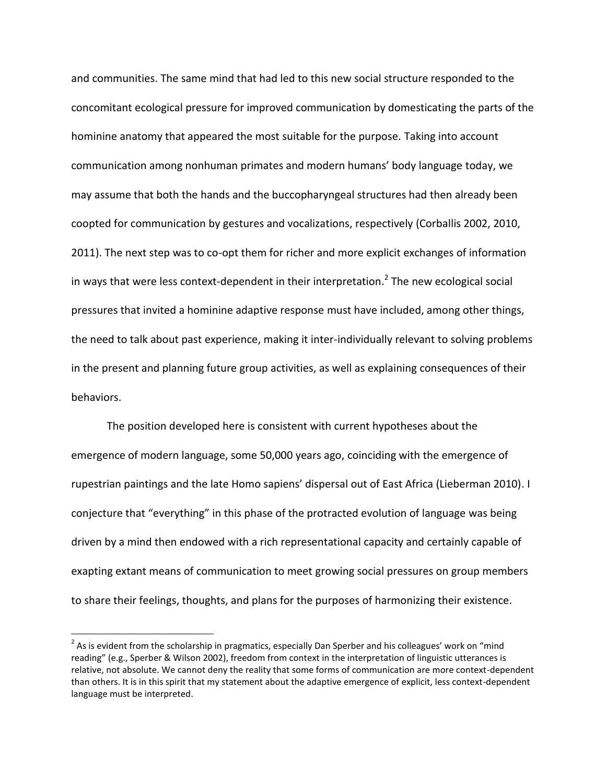and communities. The same mind that had led to this new social structure responded to the concomitant ecological pressure for improved communication by domesticating the parts of the hominine anatomy that appeared the most suitable for the purpose. Taking into account communication among nonhuman primates and modern humans' body language today, we may assume that both the hands and the buccopharyngeal structures had then already been coopted for communication by gestures and vocalizations, respectively (Corballis 2002, 2010, 2011). The next step was to co-opt them for richer and more explicit exchanges of information in ways that were less context-dependent in their interpretation.<sup>2</sup> The new ecological social pressures that invited a hominine adaptive response must have included, among other things, the need to talk about past experience, making it inter-individually relevant to solving problems in the present and planning future group activities, as well as explaining consequences of their behaviors.

The position developed here is consistent with current hypotheses about the emergence of modern language, some 50,000 years ago, coinciding with the emergence of rupestrian paintings and the late Homo sapiens' dispersal out of East Africa (Lieberman 2010). I conjecture that "everything" in this phase of the protracted evolution of language was being driven by a mind then endowed with a rich representational capacity and certainly capable of exapting extant means of communication to meet growing social pressures on group members to share their feelings, thoughts, and plans for the purposes of harmonizing their existence.

 $^2$  As is evident from the scholarship in pragmatics, especially Dan Sperber and his colleagues' work on "mind reading" (e.g., Sperber & Wilson 2002), freedom from context in the interpretation of linguistic utterances is relative, not absolute. We cannot deny the reality that some forms of communication are more context-dependent than others. It is in this spirit that my statement about the adaptive emergence of explicit, less context-dependent language must be interpreted.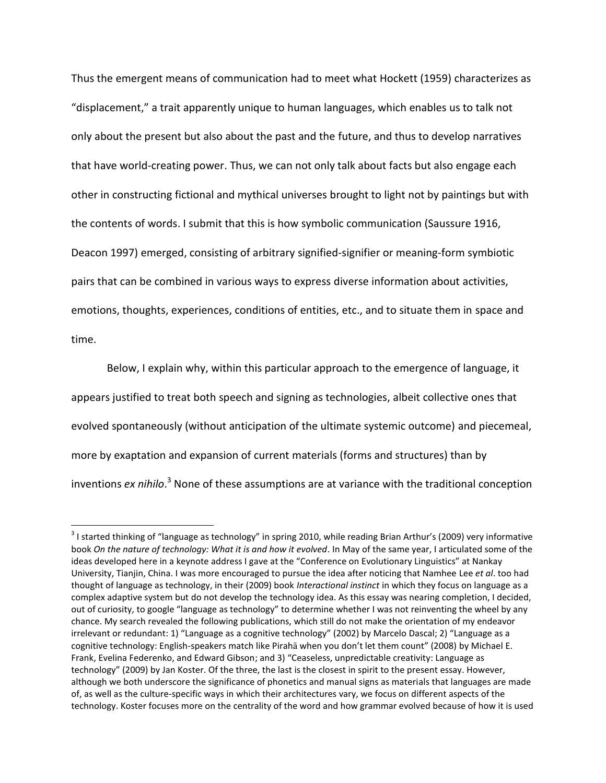Thus the emergent means of communication had to meet what Hockett (1959) characterizes as "displacement," a trait apparently unique to human languages, which enables us to talk not only about the present but also about the past and the future, and thus to develop narratives that have world-creating power. Thus, we can not only talk about facts but also engage each other in constructing fictional and mythical universes brought to light not by paintings but with the contents of words. I submit that this is how symbolic communication (Saussure 1916, Deacon 1997) emerged, consisting of arbitrary signified-signifier or meaning-form symbiotic pairs that can be combined in various ways to express diverse information about activities, emotions, thoughts, experiences, conditions of entities, etc., and to situate them in space and time.

Below, I explain why, within this particular approach to the emergence of language, it appears justified to treat both speech and signing as technologies, albeit collective ones that evolved spontaneously (without anticipation of the ultimate systemic outcome) and piecemeal, more by exaptation and expansion of current materials (forms and structures) than by inventions *ex nihilo*.<sup>3</sup> None of these assumptions are at variance with the traditional conception

 $^3$  I started thinking of "language as technology" in spring 2010, while reading Brian Arthur's (2009) very informative book *On the nature of technology: What it is and how it evolved*. In May of the same year, I articulated some of the ideas developed here in a keynote address I gave at the "Conference on Evolutionary Linguistics" at Nankay University, Tianjin, China. I was more encouraged to pursue the idea after noticing that Namhee Lee *et al*. too had thought of language as technology, in their (2009) book *Interactional instinct* in which they focus on language as a complex adaptive system but do not develop the technology idea. As this essay was nearing completion, I decided, out of curiosity, to google "language as technology" to determine whether I was not reinventing the wheel by any chance. My search revealed the following publications, which still do not make the orientation of my endeavor irrelevant or redundant: 1) "Language as a cognitive technology" (2002) by Marcelo Dascal; 2) "Language as a cognitive technology: English-speakers match like Piraha when you don't let them count" (2008) by Michael E. Frank, Evelina Federenko, and Edward Gibson; and 3) "Ceaseless, unpredictable creativity: Language as technology" (2009) by Jan Koster. Of the three, the last is the closest in spirit to the present essay. However, although we both underscore the significance of phonetics and manual signs as materials that languages are made of, as well as the culture-specific ways in which their architectures vary, we focus on different aspects of the technology. Koster focuses more on the centrality of the word and how grammar evolved because of how it is used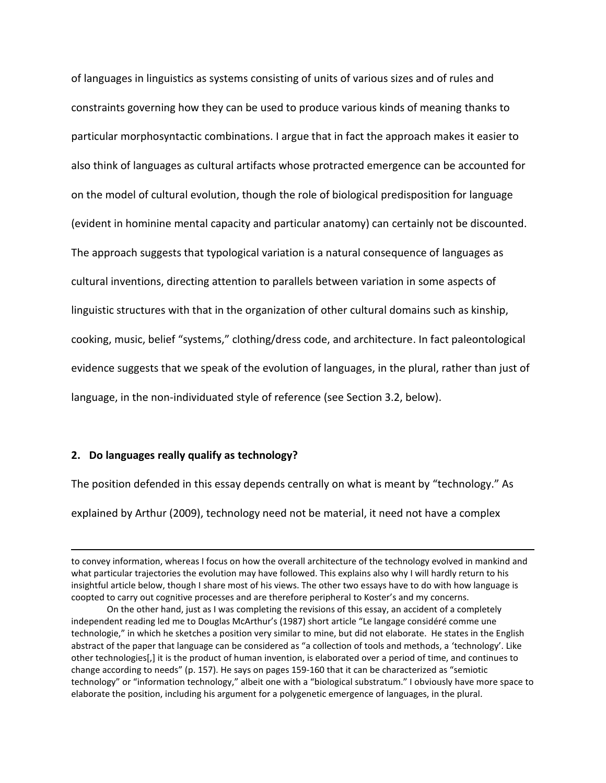of languages in linguistics as systems consisting of units of various sizes and of rules and constraints governing how they can be used to produce various kinds of meaning thanks to particular morphosyntactic combinations. I argue that in fact the approach makes it easier to also think of languages as cultural artifacts whose protracted emergence can be accounted for on the model of cultural evolution, though the role of biological predisposition for language (evident in hominine mental capacity and particular anatomy) can certainly not be discounted. The approach suggests that typological variation is a natural consequence of languages as cultural inventions, directing attention to parallels between variation in some aspects of linguistic structures with that in the organization of other cultural domains such as kinship, cooking, music, belief "systems," clothing/dress code, and architecture. In fact paleontological evidence suggests that we speak of the evolution of languages, in the plural, rather than just of language, in the non-individuated style of reference (see Section 3.2, below).

#### **2. Do languages really qualify as technology?**

 $\overline{a}$ 

The position defended in this essay depends centrally on what is meant by "technology." As explained by Arthur (2009), technology need not be material, it need not have a complex

to convey information, whereas I focus on how the overall architecture of the technology evolved in mankind and what particular trajectories the evolution may have followed. This explains also why I will hardly return to his insightful article below, though I share most of his views. The other two essays have to do with how language is coopted to carry out cognitive processes and are therefore peripheral to Koster's and my concerns.

On the other hand, just as I was completing the revisions of this essay, an accident of a completely independent reading led me to Douglas McArthur's (1987) short article "Le langage considéré comme une technologie," in which he sketches a position very similar to mine, but did not elaborate. He states in the English abstract of the paper that language can be considered as "a collection of tools and methods, a 'technology'. Like other technologies[,] it is the product of human invention, is elaborated over a period of time, and continues to change according to needs" (p. 157). He says on pages 159-160 that it can be characterized as "semiotic technology" or "information technology," albeit one with a "biological substratum." I obviously have more space to elaborate the position, including his argument for a polygenetic emergence of languages, in the plural.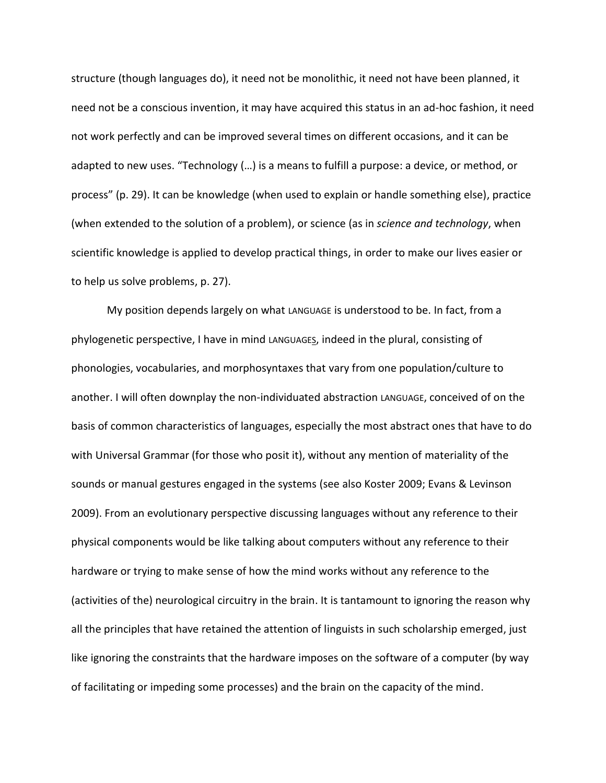structure (though languages do), it need not be monolithic, it need not have been planned, it need not be a conscious invention, it may have acquired this status in an ad-hoc fashion, it need not work perfectly and can be improved several times on different occasions, and it can be adapted to new uses. "Technology (…) is a means to fulfill a purpose: a device, or method, or process" (p. 29). It can be knowledge (when used to explain or handle something else), practice (when extended to the solution of a problem), or science (as in *science and technology*, when scientific knowledge is applied to develop practical things, in order to make our lives easier or to help us solve problems, p. 27).

My position depends largely on what LANGUAGE is understood to be. In fact, from a phylogenetic perspective, I have in mind LANGUAGES, indeed in the plural, consisting of phonologies, vocabularies, and morphosyntaxes that vary from one population/culture to another. I will often downplay the non-individuated abstraction LANGUAGE, conceived of on the basis of common characteristics of languages, especially the most abstract ones that have to do with Universal Grammar (for those who posit it), without any mention of materiality of the sounds or manual gestures engaged in the systems (see also Koster 2009; Evans & Levinson 2009). From an evolutionary perspective discussing languages without any reference to their physical components would be like talking about computers without any reference to their hardware or trying to make sense of how the mind works without any reference to the (activities of the) neurological circuitry in the brain. It is tantamount to ignoring the reason why all the principles that have retained the attention of linguists in such scholarship emerged, just like ignoring the constraints that the hardware imposes on the software of a computer (by way of facilitating or impeding some processes) and the brain on the capacity of the mind.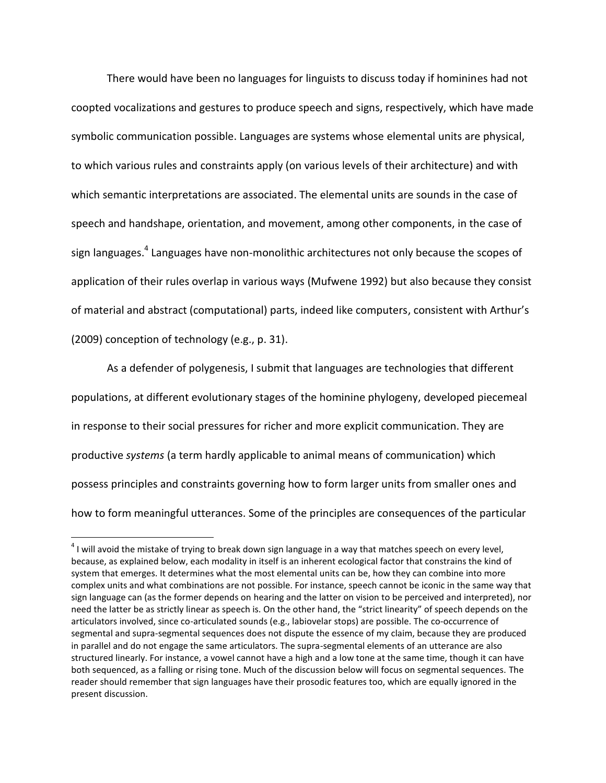There would have been no languages for linguists to discuss today if hominines had not coopted vocalizations and gestures to produce speech and signs, respectively, which have made symbolic communication possible. Languages are systems whose elemental units are physical, to which various rules and constraints apply (on various levels of their architecture) and with which semantic interpretations are associated. The elemental units are sounds in the case of speech and handshape, orientation, and movement, among other components, in the case of sign languages.<sup>4</sup> Languages have non-monolithic architectures not only because the scopes of application of their rules overlap in various ways (Mufwene 1992) but also because they consist of material and abstract (computational) parts, indeed like computers, consistent with Arthur's (2009) conception of technology (e.g., p. 31).

As a defender of polygenesis, I submit that languages are technologies that different populations, at different evolutionary stages of the hominine phylogeny, developed piecemeal in response to their social pressures for richer and more explicit communication. They are productive *systems* (a term hardly applicable to animal means of communication) which possess principles and constraints governing how to form larger units from smaller ones and how to form meaningful utterances. Some of the principles are consequences of the particular

 $^4$  I will avoid the mistake of trying to break down sign language in a way that matches speech on every level, because, as explained below, each modality in itself is an inherent ecological factor that constrains the kind of system that emerges. It determines what the most elemental units can be, how they can combine into more complex units and what combinations are not possible. For instance, speech cannot be iconic in the same way that sign language can (as the former depends on hearing and the latter on vision to be perceived and interpreted), nor need the latter be as strictly linear as speech is. On the other hand, the "strict linearity" of speech depends on the articulators involved, since co-articulated sounds (e.g., labiovelar stops) are possible. The co-occurrence of segmental and supra-segmental sequences does not dispute the essence of my claim, because they are produced in parallel and do not engage the same articulators. The supra-segmental elements of an utterance are also structured linearly. For instance, a vowel cannot have a high and a low tone at the same time, though it can have both sequenced, as a falling or rising tone. Much of the discussion below will focus on segmental sequences. The reader should remember that sign languages have their prosodic features too, which are equally ignored in the present discussion.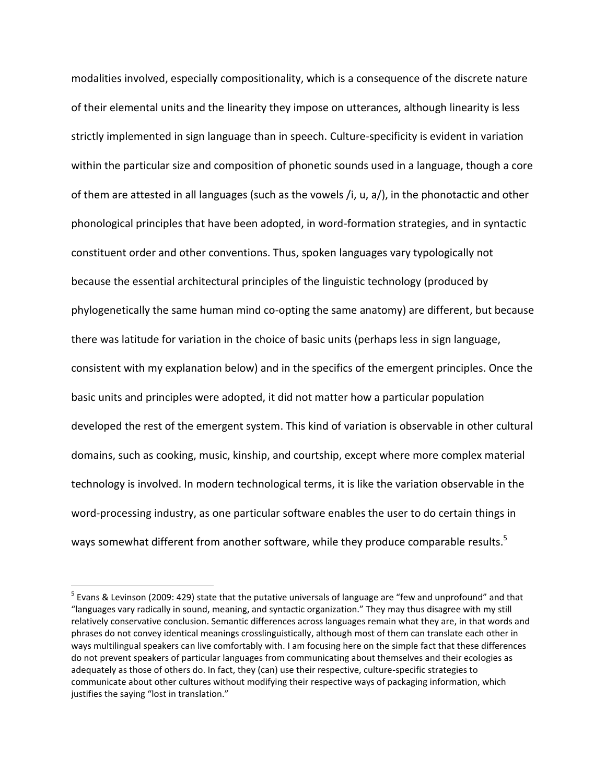modalities involved, especially compositionality, which is a consequence of the discrete nature of their elemental units and the linearity they impose on utterances, although linearity is less strictly implemented in sign language than in speech. Culture-specificity is evident in variation within the particular size and composition of phonetic sounds used in a language, though a core of them are attested in all languages (such as the vowels /i, u, a/), in the phonotactic and other phonological principles that have been adopted, in word-formation strategies, and in syntactic constituent order and other conventions. Thus, spoken languages vary typologically not because the essential architectural principles of the linguistic technology (produced by phylogenetically the same human mind co-opting the same anatomy) are different, but because there was latitude for variation in the choice of basic units (perhaps less in sign language, consistent with my explanation below) and in the specifics of the emergent principles. Once the basic units and principles were adopted, it did not matter how a particular population developed the rest of the emergent system. This kind of variation is observable in other cultural domains, such as cooking, music, kinship, and courtship, except where more complex material technology is involved. In modern technological terms, it is like the variation observable in the word-processing industry, as one particular software enables the user to do certain things in ways somewhat different from another software, while they produce comparable results.<sup>5</sup>

<sup>&</sup>lt;sup>5</sup> Evans & Levinson (2009: 429) state that the putative universals of language are "few and unprofound" and that "languages vary radically in sound, meaning, and syntactic organization." They may thus disagree with my still relatively conservative conclusion. Semantic differences across languages remain what they are, in that words and phrases do not convey identical meanings crosslinguistically, although most of them can translate each other in ways multilingual speakers can live comfortably with. I am focusing here on the simple fact that these differences do not prevent speakers of particular languages from communicating about themselves and their ecologies as adequately as those of others do. In fact, they (can) use their respective, culture-specific strategies to communicate about other cultures without modifying their respective ways of packaging information, which justifies the saying "lost in translation."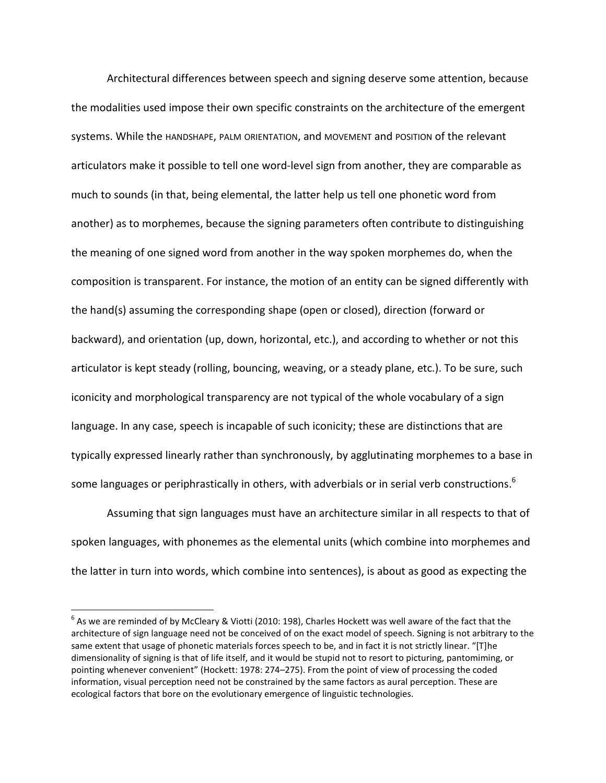Architectural differences between speech and signing deserve some attention, because the modalities used impose their own specific constraints on the architecture of the emergent systems. While the HANDSHAPE, PALM ORIENTATION, and MOVEMENT and POSITION of the relevant articulators make it possible to tell one word-level sign from another, they are comparable as much to sounds (in that, being elemental, the latter help us tell one phonetic word from another) as to morphemes, because the signing parameters often contribute to distinguishing the meaning of one signed word from another in the way spoken morphemes do, when the composition is transparent. For instance, the motion of an entity can be signed differently with the hand(s) assuming the corresponding shape (open or closed), direction (forward or backward), and orientation (up, down, horizontal, etc.), and according to whether or not this articulator is kept steady (rolling, bouncing, weaving, or a steady plane, etc.). To be sure, such iconicity and morphological transparency are not typical of the whole vocabulary of a sign language. In any case, speech is incapable of such iconicity; these are distinctions that are typically expressed linearly rather than synchronously, by agglutinating morphemes to a base in some languages or periphrastically in others, with adverbials or in serial verb constructions.<sup>6</sup>

Assuming that sign languages must have an architecture similar in all respects to that of spoken languages, with phonemes as the elemental units (which combine into morphemes and the latter in turn into words, which combine into sentences), is about as good as expecting the

 $^6$  As we are reminded of by McCleary & Viotti (2010: 198), Charles Hockett was well aware of the fact that the architecture of sign language need not be conceived of on the exact model of speech. Signing is not arbitrary to the same extent that usage of phonetic materials forces speech to be, and in fact it is not strictly linear. "[T]he dimensionality of signing is that of life itself, and it would be stupid not to resort to picturing, pantomiming, or pointing whenever convenient" (Hockett: 1978: 274–275). From the point of view of processing the coded information, visual perception need not be constrained by the same factors as aural perception. These are ecological factors that bore on the evolutionary emergence of linguistic technologies.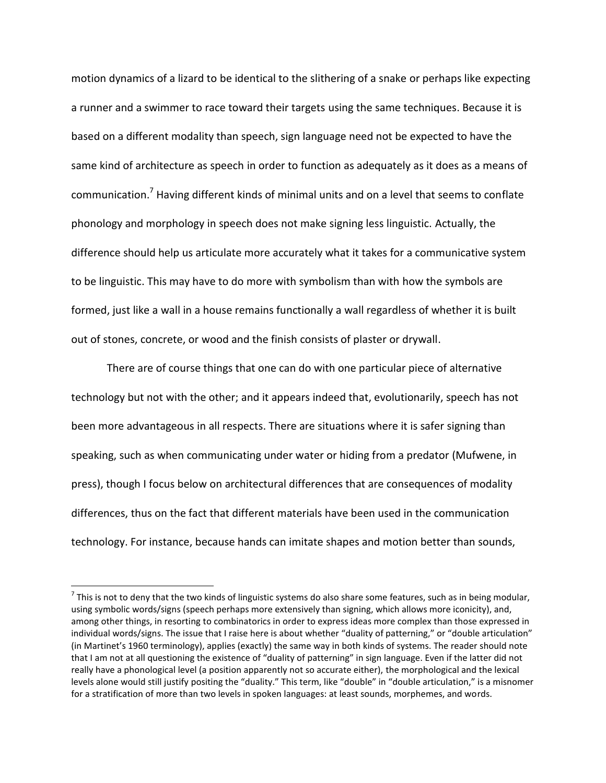motion dynamics of a lizard to be identical to the slithering of a snake or perhaps like expecting a runner and a swimmer to race toward their targets using the same techniques. Because it is based on a different modality than speech, sign language need not be expected to have the same kind of architecture as speech in order to function as adequately as it does as a means of communication.<sup>7</sup> Having different kinds of minimal units and on a level that seems to conflate phonology and morphology in speech does not make signing less linguistic. Actually, the difference should help us articulate more accurately what it takes for a communicative system to be linguistic. This may have to do more with symbolism than with how the symbols are formed, just like a wall in a house remains functionally a wall regardless of whether it is built out of stones, concrete, or wood and the finish consists of plaster or drywall.

There are of course things that one can do with one particular piece of alternative technology but not with the other; and it appears indeed that, evolutionarily, speech has not been more advantageous in all respects. There are situations where it is safer signing than speaking, such as when communicating under water or hiding from a predator (Mufwene, in press), though I focus below on architectural differences that are consequences of modality differences, thus on the fact that different materials have been used in the communication technology. For instance, because hands can imitate shapes and motion better than sounds,

<sup>&</sup>lt;sup>7</sup> This is not to deny that the two kinds of linguistic systems do also share some features, such as in being modular, using symbolic words/signs (speech perhaps more extensively than signing, which allows more iconicity), and, among other things, in resorting to combinatorics in order to express ideas more complex than those expressed in individual words/signs. The issue that I raise here is about whether "duality of patterning," or "double articulation" (in Martinet's 1960 terminology), applies (exactly) the same way in both kinds of systems. The reader should note that I am not at all questioning the existence of "duality of patterning" in sign language. Even if the latter did not really have a phonological level (a position apparently not so accurate either), the morphological and the lexical levels alone would still justify positing the "duality." This term, like "double" in "double articulation," is a misnomer for a stratification of more than two levels in spoken languages: at least sounds, morphemes, and words.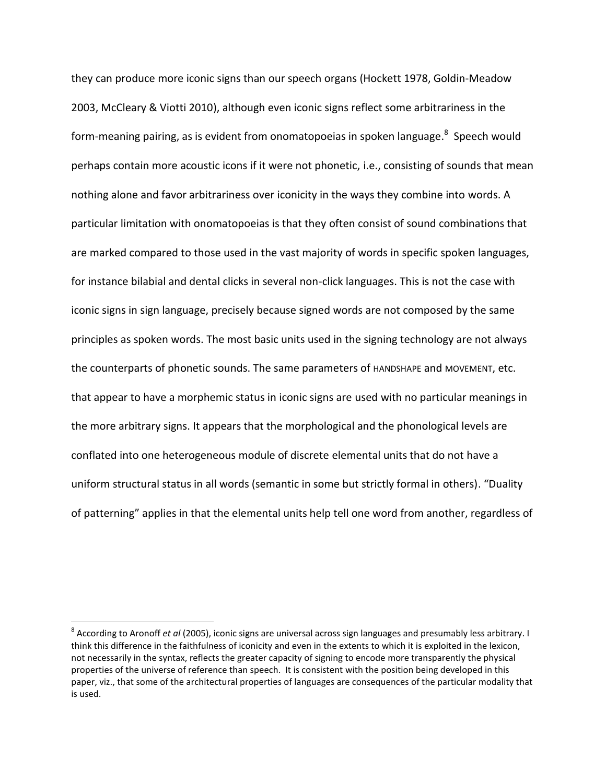they can produce more iconic signs than our speech organs (Hockett 1978, Goldin-Meadow 2003, McCleary & Viotti 2010), although even iconic signs reflect some arbitrariness in the form-meaning pairing, as is evident from onomatopoeias in spoken language.<sup>8</sup> Speech would perhaps contain more acoustic icons if it were not phonetic, i.e., consisting of sounds that mean nothing alone and favor arbitrariness over iconicity in the ways they combine into words. A particular limitation with onomatopoeias is that they often consist of sound combinations that are marked compared to those used in the vast majority of words in specific spoken languages, for instance bilabial and dental clicks in several non-click languages. This is not the case with iconic signs in sign language, precisely because signed words are not composed by the same principles as spoken words. The most basic units used in the signing technology are not always the counterparts of phonetic sounds. The same parameters of HANDSHAPE and MOVEMENT, etc. that appear to have a morphemic status in iconic signs are used with no particular meanings in the more arbitrary signs. It appears that the morphological and the phonological levels are conflated into one heterogeneous module of discrete elemental units that do not have a uniform structural status in all words (semantic in some but strictly formal in others). "Duality of patterning" applies in that the elemental units help tell one word from another, regardless of

<sup>8</sup> According to Aronoff *et al* (2005), iconic signs are universal across sign languages and presumably less arbitrary. I think this difference in the faithfulness of iconicity and even in the extents to which it is exploited in the lexicon, not necessarily in the syntax, reflects the greater capacity of signing to encode more transparently the physical properties of the universe of reference than speech. It is consistent with the position being developed in this paper, viz., that some of the architectural properties of languages are consequences of the particular modality that is used.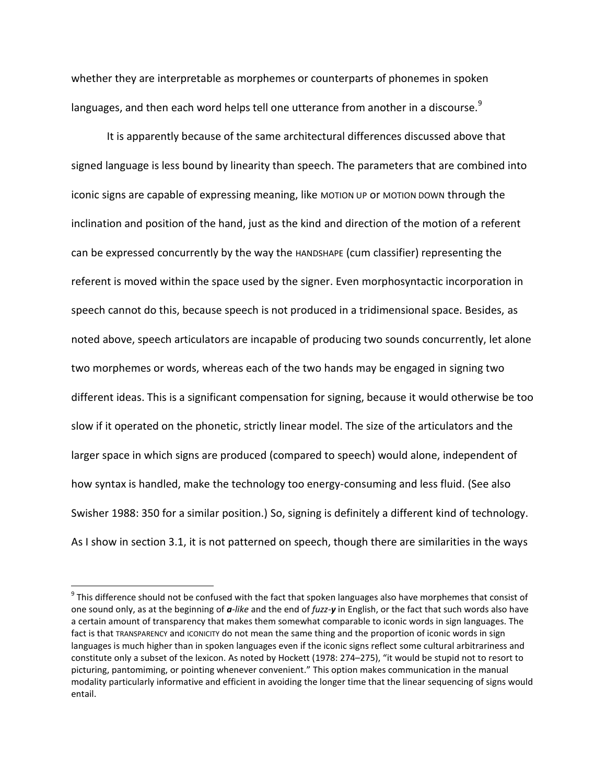whether they are interpretable as morphemes or counterparts of phonemes in spoken languages, and then each word helps tell one utterance from another in a discourse. $9$ 

It is apparently because of the same architectural differences discussed above that signed language is less bound by linearity than speech. The parameters that are combined into iconic signs are capable of expressing meaning, like MOTION UP or MOTION DOWN through the inclination and position of the hand, just as the kind and direction of the motion of a referent can be expressed concurrently by the way the HANDSHAPE (cum classifier) representing the referent is moved within the space used by the signer. Even morphosyntactic incorporation in speech cannot do this, because speech is not produced in a tridimensional space. Besides, as noted above, speech articulators are incapable of producing two sounds concurrently, let alone two morphemes or words, whereas each of the two hands may be engaged in signing two different ideas. This is a significant compensation for signing, because it would otherwise be too slow if it operated on the phonetic, strictly linear model. The size of the articulators and the larger space in which signs are produced (compared to speech) would alone, independent of how syntax is handled, make the technology too energy-consuming and less fluid. (See also Swisher 1988: 350 for a similar position.) So, signing is definitely a different kind of technology. As I show in section 3.1, it is not patterned on speech, though there are similarities in the ways

 $^9$  This difference should not be confused with the fact that spoken languages also have morphemes that consist of one sound only, as at the beginning of *a-like* and the end of *fuzz-y* in English, or the fact that such words also have a certain amount of transparency that makes them somewhat comparable to iconic words in sign languages. The fact is that TRANSPARENCY and ICONICITY do not mean the same thing and the proportion of iconic words in sign languages is much higher than in spoken languages even if the iconic signs reflect some cultural arbitrariness and constitute only a subset of the lexicon. As noted by Hockett (1978: 274–275), "it would be stupid not to resort to picturing, pantomiming, or pointing whenever convenient." This option makes communication in the manual modality particularly informative and efficient in avoiding the longer time that the linear sequencing of signs would entail.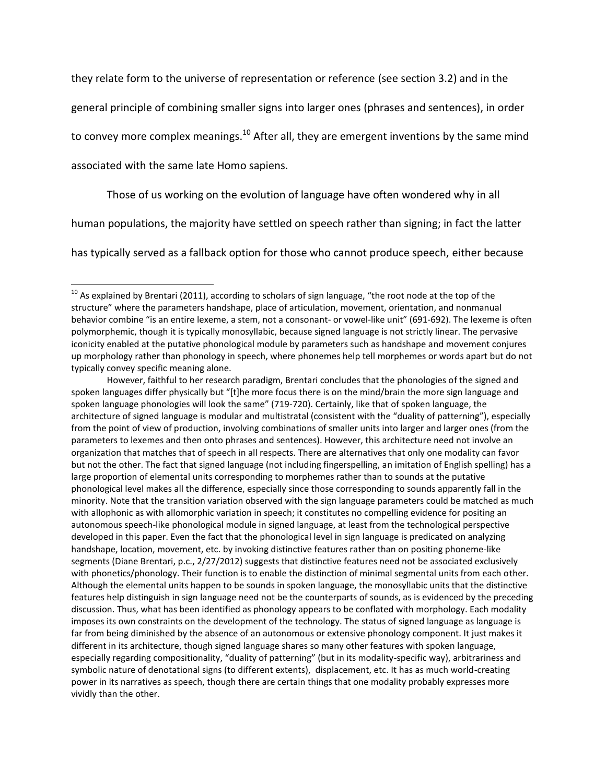they relate form to the universe of representation or reference (see section 3.2) and in the

general principle of combining smaller signs into larger ones (phrases and sentences), in order

to convey more complex meanings.<sup>10</sup> After all, they are emergent inventions by the same mind

associated with the same late Homo sapiens.

 $\overline{\phantom{a}}$ 

Those of us working on the evolution of language have often wondered why in all

human populations, the majority have settled on speech rather than signing; in fact the latter

has typically served as a fallback option for those who cannot produce speech, either because

 $^{10}$  As explained by Brentari (2011), according to scholars of sign language, "the root node at the top of the structure" where the parameters handshape, place of articulation, movement, orientation, and nonmanual behavior combine "is an entire lexeme, a stem, not a consonant- or vowel-like unit" (691-692). The lexeme is often polymorphemic, though it is typically monosyllabic, because signed language is not strictly linear. The pervasive iconicity enabled at the putative phonological module by parameters such as handshape and movement conjures up morphology rather than phonology in speech, where phonemes help tell morphemes or words apart but do not typically convey specific meaning alone.

However, faithful to her research paradigm, Brentari concludes that the phonologies of the signed and spoken languages differ physically but "[t]he more focus there is on the mind/brain the more sign language and spoken language phonologies will look the same" (719-720). Certainly, like that of spoken language, the architecture of signed language is modular and multistratal (consistent with the "duality of patterning"), especially from the point of view of production, involving combinations of smaller units into larger and larger ones (from the parameters to lexemes and then onto phrases and sentences). However, this architecture need not involve an organization that matches that of speech in all respects. There are alternatives that only one modality can favor but not the other. The fact that signed language (not including fingerspelling, an imitation of English spelling) has a large proportion of elemental units corresponding to morphemes rather than to sounds at the putative phonological level makes all the difference, especially since those corresponding to sounds apparently fall in the minority. Note that the transition variation observed with the sign language parameters could be matched as much with allophonic as with allomorphic variation in speech; it constitutes no compelling evidence for positing an autonomous speech-like phonological module in signed language, at least from the technological perspective developed in this paper. Even the fact that the phonological level in sign language is predicated on analyzing handshape, location, movement, etc. by invoking distinctive features rather than on positing phoneme-like segments (Diane Brentari, p.c., 2/27/2012) suggests that distinctive features need not be associated exclusively with phonetics/phonology. Their function is to enable the distinction of minimal segmental units from each other. Although the elemental units happen to be sounds in spoken language, the monosyllabic units that the distinctive features help distinguish in sign language need not be the counterparts of sounds, as is evidenced by the preceding discussion. Thus, what has been identified as phonology appears to be conflated with morphology. Each modality imposes its own constraints on the development of the technology. The status of signed language as language is far from being diminished by the absence of an autonomous or extensive phonology component. It just makes it different in its architecture, though signed language shares so many other features with spoken language, especially regarding compositionality, "duality of patterning" (but in its modality-specific way), arbitrariness and symbolic nature of denotational signs (to different extents), displacement, etc. It has as much world-creating power in its narratives as speech, though there are certain things that one modality probably expresses more vividly than the other.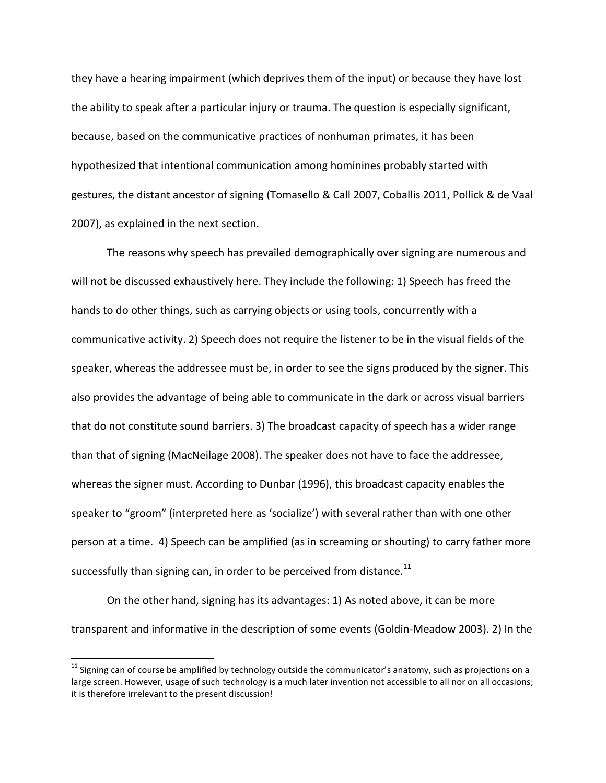they have a hearing impairment (which deprives them of the input) or because they have lost the ability to speak after a particular injury or trauma. The question is especially significant, because, based on the communicative practices of nonhuman primates, it has been hypothesized that intentional communication among hominines probably started with gestures, the distant ancestor of signing (Tomasello & Call 2007, Coballis 2011, Pollick & de Vaal 2007), as explained in the next section.

The reasons why speech has prevailed demographically over signing are numerous and will not be discussed exhaustively here. They include the following: 1) Speech has freed the hands to do other things, such as carrying objects or using tools, concurrently with a communicative activity. 2) Speech does not require the listener to be in the visual fields of the speaker, whereas the addressee must be, in order to see the signs produced by the signer. This also provides the advantage of being able to communicate in the dark or across visual barriers that do not constitute sound barriers. 3) The broadcast capacity of speech has a wider range than that of signing (MacNeilage 2008). The speaker does not have to face the addressee, whereas the signer must. According to Dunbar (1996), this broadcast capacity enables the speaker to "groom" (interpreted here as 'socialize') with several rather than with one other person at a time. 4) Speech can be amplified (as in screaming or shouting) to carry father more successfully than signing can, in order to be perceived from distance. $^{11}$ 

On the other hand, signing has its advantages: 1) As noted above, it can be more transparent and informative in the description of some events (Goldin-Meadow 2003). 2) In the

 $11$  Signing can of course be amplified by technology outside the communicator's anatomy, such as projections on a large screen. However, usage of such technology is a much later invention not accessible to all nor on all occasions; it is therefore irrelevant to the present discussion!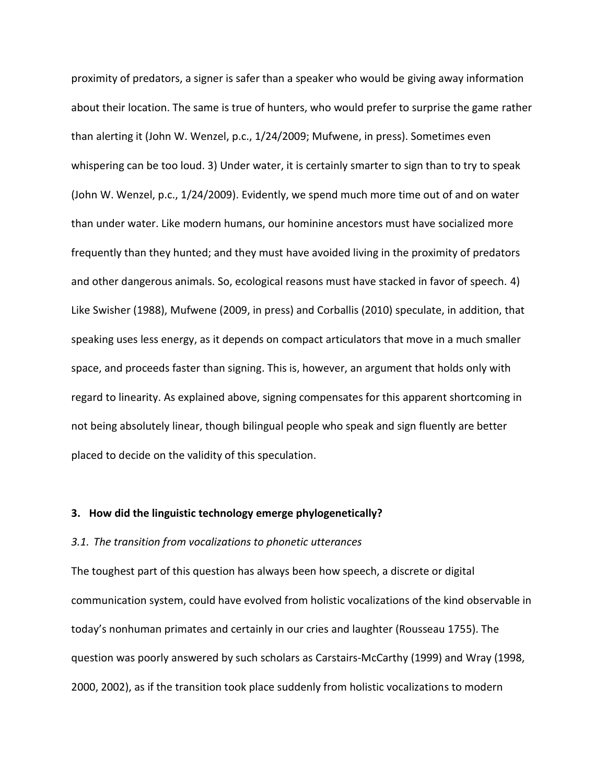proximity of predators, a signer is safer than a speaker who would be giving away information about their location. The same is true of hunters, who would prefer to surprise the game rather than alerting it (John W. Wenzel, p.c., 1/24/2009; Mufwene, in press). Sometimes even whispering can be too loud. 3) Under water, it is certainly smarter to sign than to try to speak (John W. Wenzel, p.c., 1/24/2009). Evidently, we spend much more time out of and on water than under water. Like modern humans, our hominine ancestors must have socialized more frequently than they hunted; and they must have avoided living in the proximity of predators and other dangerous animals. So, ecological reasons must have stacked in favor of speech. 4) Like Swisher (1988), Mufwene (2009, in press) and Corballis (2010) speculate, in addition, that speaking uses less energy, as it depends on compact articulators that move in a much smaller space, and proceeds faster than signing. This is, however, an argument that holds only with regard to linearity. As explained above, signing compensates for this apparent shortcoming in not being absolutely linear, though bilingual people who speak and sign fluently are better placed to decide on the validity of this speculation.

## **3. How did the linguistic technology emerge phylogenetically?**

#### *3.1. The transition from vocalizations to phonetic utterances*

The toughest part of this question has always been how speech, a discrete or digital communication system, could have evolved from holistic vocalizations of the kind observable in today's nonhuman primates and certainly in our cries and laughter (Rousseau 1755). The question was poorly answered by such scholars as Carstairs-McCarthy (1999) and Wray (1998, 2000, 2002), as if the transition took place suddenly from holistic vocalizations to modern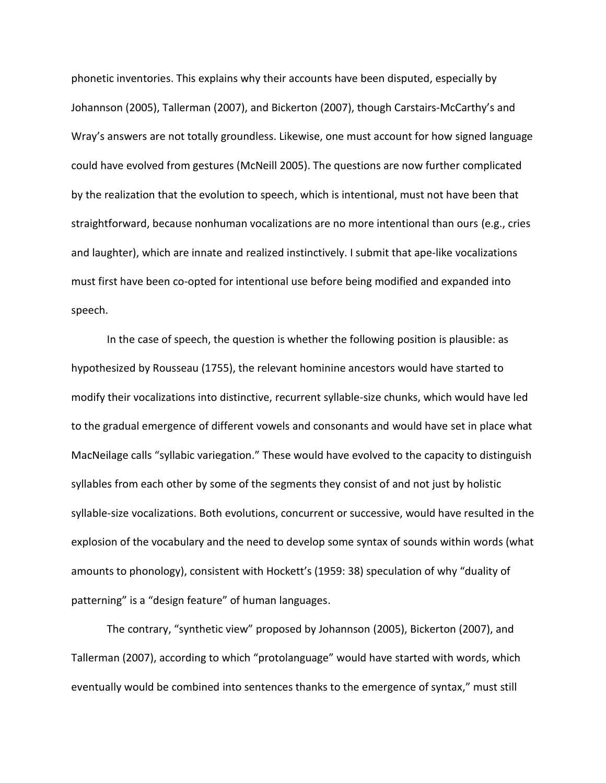phonetic inventories. This explains why their accounts have been disputed, especially by Johannson (2005), Tallerman (2007), and Bickerton (2007), though Carstairs-McCarthy's and Wray's answers are not totally groundless. Likewise, one must account for how signed language could have evolved from gestures (McNeill 2005). The questions are now further complicated by the realization that the evolution to speech, which is intentional, must not have been that straightforward, because nonhuman vocalizations are no more intentional than ours (e.g., cries and laughter), which are innate and realized instinctively. I submit that ape-like vocalizations must first have been co-opted for intentional use before being modified and expanded into speech.

In the case of speech, the question is whether the following position is plausible: as hypothesized by Rousseau (1755), the relevant hominine ancestors would have started to modify their vocalizations into distinctive, recurrent syllable-size chunks, which would have led to the gradual emergence of different vowels and consonants and would have set in place what MacNeilage calls "syllabic variegation." These would have evolved to the capacity to distinguish syllables from each other by some of the segments they consist of and not just by holistic syllable-size vocalizations. Both evolutions, concurrent or successive, would have resulted in the explosion of the vocabulary and the need to develop some syntax of sounds within words (what amounts to phonology), consistent with Hockett's (1959: 38) speculation of why "duality of patterning" is a "design feature" of human languages.

The contrary, "synthetic view" proposed by Johannson (2005), Bickerton (2007), and Tallerman (2007), according to which "protolanguage" would have started with words, which eventually would be combined into sentences thanks to the emergence of syntax," must still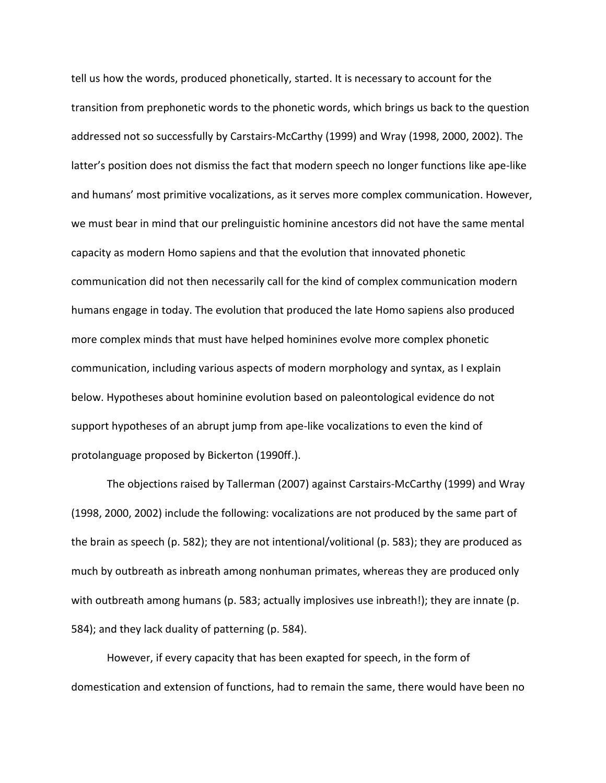tell us how the words, produced phonetically, started. It is necessary to account for the transition from prephonetic words to the phonetic words, which brings us back to the question addressed not so successfully by Carstairs-McCarthy (1999) and Wray (1998, 2000, 2002). The latter's position does not dismiss the fact that modern speech no longer functions like ape-like and humans' most primitive vocalizations, as it serves more complex communication. However, we must bear in mind that our prelinguistic hominine ancestors did not have the same mental capacity as modern Homo sapiens and that the evolution that innovated phonetic communication did not then necessarily call for the kind of complex communication modern humans engage in today. The evolution that produced the late Homo sapiens also produced more complex minds that must have helped hominines evolve more complex phonetic communication, including various aspects of modern morphology and syntax, as I explain below. Hypotheses about hominine evolution based on paleontological evidence do not support hypotheses of an abrupt jump from ape-like vocalizations to even the kind of protolanguage proposed by Bickerton (1990ff.).

The objections raised by Tallerman (2007) against Carstairs-McCarthy (1999) and Wray (1998, 2000, 2002) include the following: vocalizations are not produced by the same part of the brain as speech (p. 582); they are not intentional/volitional (p. 583); they are produced as much by outbreath as inbreath among nonhuman primates, whereas they are produced only with outbreath among humans (p. 583; actually implosives use inbreath!); they are innate (p. 584); and they lack duality of patterning (p. 584).

However, if every capacity that has been exapted for speech, in the form of domestication and extension of functions, had to remain the same, there would have been no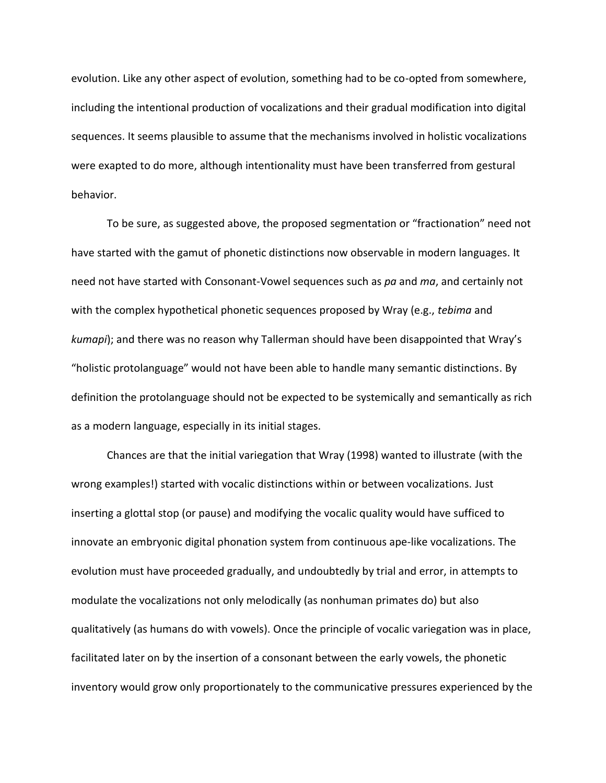evolution. Like any other aspect of evolution, something had to be co-opted from somewhere, including the intentional production of vocalizations and their gradual modification into digital sequences. It seems plausible to assume that the mechanisms involved in holistic vocalizations were exapted to do more, although intentionality must have been transferred from gestural behavior.

To be sure, as suggested above, the proposed segmentation or "fractionation" need not have started with the gamut of phonetic distinctions now observable in modern languages. It need not have started with Consonant-Vowel sequences such as *pa* and *ma*, and certainly not with the complex hypothetical phonetic sequences proposed by Wray (e.g., *tebima* and *kumapi*); and there was no reason why Tallerman should have been disappointed that Wray's "holistic protolanguage" would not have been able to handle many semantic distinctions. By definition the protolanguage should not be expected to be systemically and semantically as rich as a modern language, especially in its initial stages.

Chances are that the initial variegation that Wray (1998) wanted to illustrate (with the wrong examples!) started with vocalic distinctions within or between vocalizations. Just inserting a glottal stop (or pause) and modifying the vocalic quality would have sufficed to innovate an embryonic digital phonation system from continuous ape-like vocalizations. The evolution must have proceeded gradually, and undoubtedly by trial and error, in attempts to modulate the vocalizations not only melodically (as nonhuman primates do) but also qualitatively (as humans do with vowels). Once the principle of vocalic variegation was in place, facilitated later on by the insertion of a consonant between the early vowels, the phonetic inventory would grow only proportionately to the communicative pressures experienced by the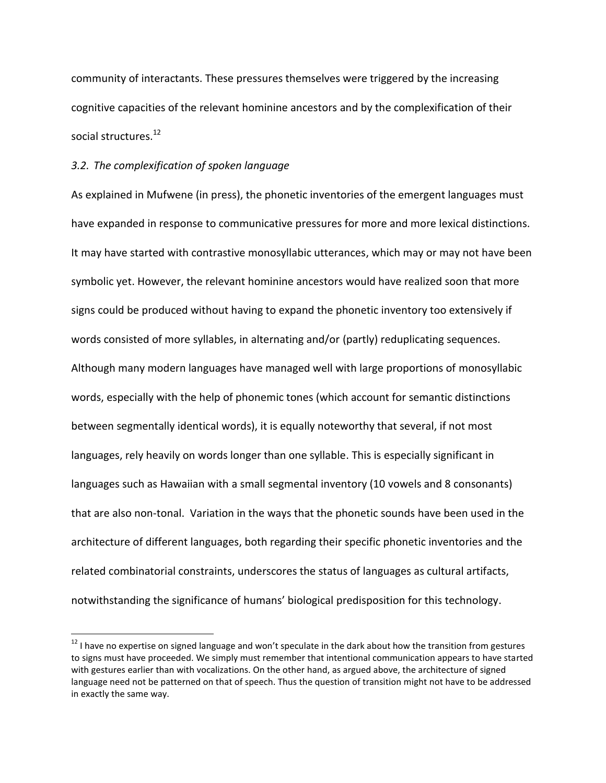community of interactants. These pressures themselves were triggered by the increasing cognitive capacities of the relevant hominine ancestors and by the complexification of their social structures.<sup>12</sup>

## *3.2. The complexification of spoken language*

 $\overline{a}$ 

As explained in Mufwene (in press), the phonetic inventories of the emergent languages must have expanded in response to communicative pressures for more and more lexical distinctions. It may have started with contrastive monosyllabic utterances, which may or may not have been symbolic yet. However, the relevant hominine ancestors would have realized soon that more signs could be produced without having to expand the phonetic inventory too extensively if words consisted of more syllables, in alternating and/or (partly) reduplicating sequences. Although many modern languages have managed well with large proportions of monosyllabic words, especially with the help of phonemic tones (which account for semantic distinctions between segmentally identical words), it is equally noteworthy that several, if not most languages, rely heavily on words longer than one syllable. This is especially significant in languages such as Hawaiian with a small segmental inventory (10 vowels and 8 consonants) that are also non-tonal. Variation in the ways that the phonetic sounds have been used in the architecture of different languages, both regarding their specific phonetic inventories and the related combinatorial constraints, underscores the status of languages as cultural artifacts, notwithstanding the significance of humans' biological predisposition for this technology.

 $12$  I have no expertise on signed language and won't speculate in the dark about how the transition from gestures to signs must have proceeded. We simply must remember that intentional communication appears to have started with gestures earlier than with vocalizations. On the other hand, as argued above, the architecture of signed language need not be patterned on that of speech. Thus the question of transition might not have to be addressed in exactly the same way.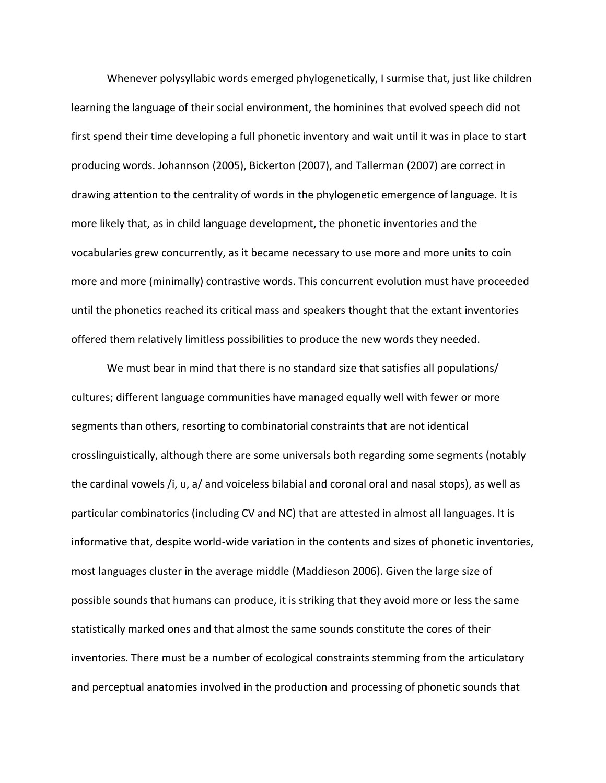Whenever polysyllabic words emerged phylogenetically, I surmise that, just like children learning the language of their social environment, the hominines that evolved speech did not first spend their time developing a full phonetic inventory and wait until it was in place to start producing words. Johannson (2005), Bickerton (2007), and Tallerman (2007) are correct in drawing attention to the centrality of words in the phylogenetic emergence of language. It is more likely that, as in child language development, the phonetic inventories and the vocabularies grew concurrently, as it became necessary to use more and more units to coin more and more (minimally) contrastive words. This concurrent evolution must have proceeded until the phonetics reached its critical mass and speakers thought that the extant inventories offered them relatively limitless possibilities to produce the new words they needed.

We must bear in mind that there is no standard size that satisfies all populations/ cultures; different language communities have managed equally well with fewer or more segments than others, resorting to combinatorial constraints that are not identical crosslinguistically, although there are some universals both regarding some segments (notably the cardinal vowels /i, u, a/ and voiceless bilabial and coronal oral and nasal stops), as well as particular combinatorics (including CV and NC) that are attested in almost all languages. It is informative that, despite world-wide variation in the contents and sizes of phonetic inventories, most languages cluster in the average middle (Maddieson 2006). Given the large size of possible sounds that humans can produce, it is striking that they avoid more or less the same statistically marked ones and that almost the same sounds constitute the cores of their inventories. There must be a number of ecological constraints stemming from the articulatory and perceptual anatomies involved in the production and processing of phonetic sounds that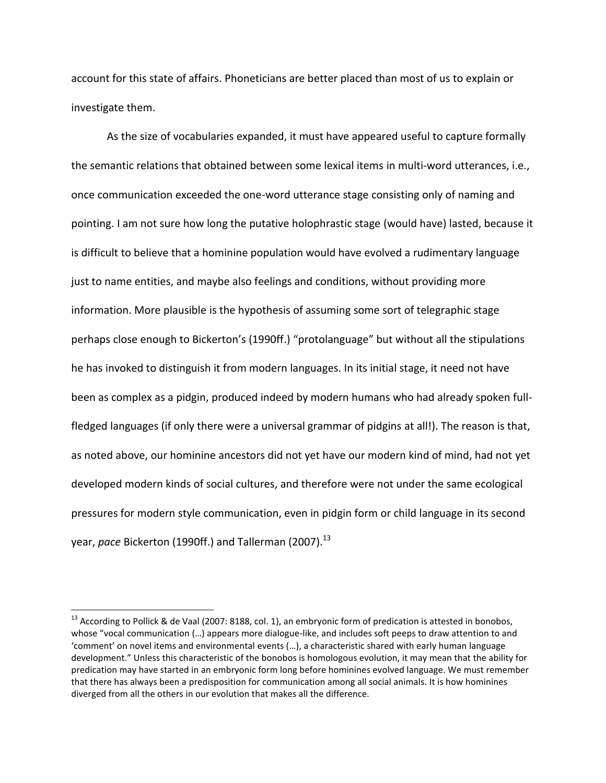account for this state of affairs. Phoneticians are better placed than most of us to explain or investigate them.

As the size of vocabularies expanded, it must have appeared useful to capture formally the semantic relations that obtained between some lexical items in multi-word utterances, i.e., once communication exceeded the one-word utterance stage consisting only of naming and pointing. I am not sure how long the putative holophrastic stage (would have) lasted, because it is difficult to believe that a hominine population would have evolved a rudimentary language just to name entities, and maybe also feelings and conditions, without providing more information. More plausible is the hypothesis of assuming some sort of telegraphic stage perhaps close enough to Bickerton's (1990ff.) "protolanguage" but without all the stipulations he has invoked to distinguish it from modern languages. In its initial stage, it need not have been as complex as a pidgin, produced indeed by modern humans who had already spoken fullfledged languages (if only there were a universal grammar of pidgins at all!). The reason is that, as noted above, our hominine ancestors did not yet have our modern kind of mind, had not yet developed modern kinds of social cultures, and therefore were not under the same ecological pressures for modern style communication, even in pidgin form or child language in its second year, *pace* Bickerton (1990ff.) and Tallerman (2007).<sup>13</sup>

<sup>&</sup>lt;sup>13</sup> According to Pollick & de Vaal (2007: 8188, col. 1), an embryonic form of predication is attested in bonobos, whose "vocal communication (…) appears more dialogue-like, and includes soft peeps to draw attention to and 'comment' on novel items and environmental events (…), a characteristic shared with early human language development." Unless this characteristic of the bonobos is homologous evolution, it may mean that the ability for predication may have started in an embryonic form long before hominines evolved language. We must remember that there has always been a predisposition for communication among all social animals. It is how hominines diverged from all the others in our evolution that makes all the difference.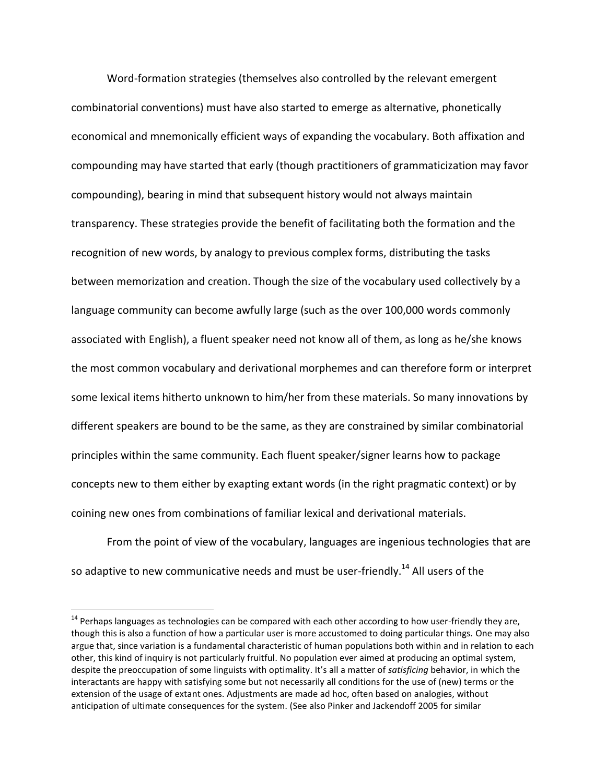Word-formation strategies (themselves also controlled by the relevant emergent combinatorial conventions) must have also started to emerge as alternative, phonetically economical and mnemonically efficient ways of expanding the vocabulary. Both affixation and compounding may have started that early (though practitioners of grammaticization may favor compounding), bearing in mind that subsequent history would not always maintain transparency. These strategies provide the benefit of facilitating both the formation and the recognition of new words, by analogy to previous complex forms, distributing the tasks between memorization and creation. Though the size of the vocabulary used collectively by a language community can become awfully large (such as the over 100,000 words commonly associated with English), a fluent speaker need not know all of them, as long as he/she knows the most common vocabulary and derivational morphemes and can therefore form or interpret some lexical items hitherto unknown to him/her from these materials. So many innovations by different speakers are bound to be the same, as they are constrained by similar combinatorial principles within the same community. Each fluent speaker/signer learns how to package concepts new to them either by exapting extant words (in the right pragmatic context) or by coining new ones from combinations of familiar lexical and derivational materials.

From the point of view of the vocabulary, languages are ingenious technologies that are so adaptive to new communicative needs and must be user-friendly.<sup>14</sup> All users of the

<sup>&</sup>lt;sup>14</sup> Perhaps languages as technologies can be compared with each other according to how user-friendly they are, though this is also a function of how a particular user is more accustomed to doing particular things. One may also argue that, since variation is a fundamental characteristic of human populations both within and in relation to each other, this kind of inquiry is not particularly fruitful. No population ever aimed at producing an optimal system, despite the preoccupation of some linguists with optimality. It's all a matter of *satisficing* behavior, in which the interactants are happy with satisfying some but not necessarily all conditions for the use of (new) terms or the extension of the usage of extant ones. Adjustments are made ad hoc, often based on analogies, without anticipation of ultimate consequences for the system. (See also Pinker and Jackendoff 2005 for similar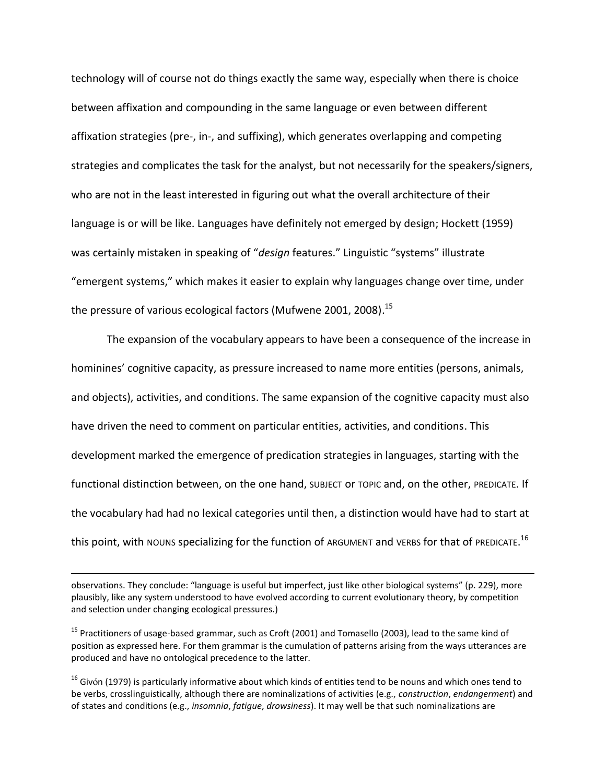technology will of course not do things exactly the same way, especially when there is choice between affixation and compounding in the same language or even between different affixation strategies (pre-, in-, and suffixing), which generates overlapping and competing strategies and complicates the task for the analyst, but not necessarily for the speakers/signers, who are not in the least interested in figuring out what the overall architecture of their language is or will be like. Languages have definitely not emerged by design; Hockett (1959) was certainly mistaken in speaking of "*design* features." Linguistic "systems" illustrate "emergent systems," which makes it easier to explain why languages change over time, under the pressure of various ecological factors (Mufwene 2001, 2008).<sup>15</sup>

The expansion of the vocabulary appears to have been a consequence of the increase in hominines' cognitive capacity, as pressure increased to name more entities (persons, animals, and objects), activities, and conditions. The same expansion of the cognitive capacity must also have driven the need to comment on particular entities, activities, and conditions. This development marked the emergence of predication strategies in languages, starting with the functional distinction between, on the one hand, SUBJECT or TOPIC and, on the other, PREDICATE. If the vocabulary had had no lexical categories until then, a distinction would have had to start at this point, with nouns specializing for the function of ARGUMENT and VERBS for that of PREDICATE.  $^{16}$ 

observations. They conclude: "language is useful but imperfect, just like other biological systems" (p. 229), more plausibly, like any system understood to have evolved according to current evolutionary theory, by competition and selection under changing ecological pressures.)

<sup>&</sup>lt;sup>15</sup> Practitioners of usage-based grammar, such as Croft (2001) and Tomasello (2003), lead to the same kind of position as expressed here. For them grammar is the cumulation of patterns arising from the ways utterances are produced and have no ontological precedence to the latter.

 $16$  Givón (1979) is particularly informative about which kinds of entities tend to be nouns and which ones tend to be verbs, crosslinguistically, although there are nominalizations of activities (e.g., *construction*, *endangerment*) and of states and conditions (e.g., *insomnia*, *fatigue*, *drowsiness*). It may well be that such nominalizations are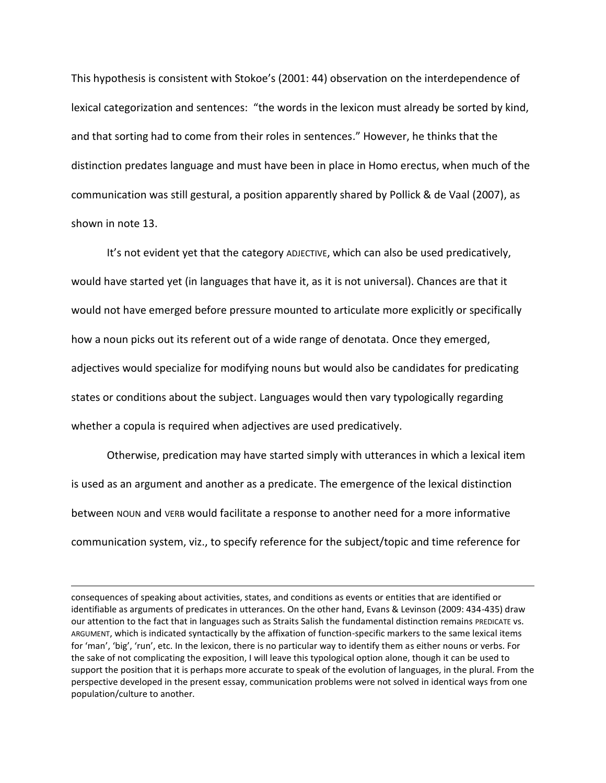This hypothesis is consistent with Stokoe's (2001: 44) observation on the interdependence of lexical categorization and sentences: "the words in the lexicon must already be sorted by kind, and that sorting had to come from their roles in sentences." However, he thinks that the distinction predates language and must have been in place in Homo erectus, when much of the communication was still gestural, a position apparently shared by Pollick & de Vaal (2007), as shown in note 13.

It's not evident yet that the category ADJECTIVE, which can also be used predicatively, would have started yet (in languages that have it, as it is not universal). Chances are that it would not have emerged before pressure mounted to articulate more explicitly or specifically how a noun picks out its referent out of a wide range of denotata. Once they emerged, adjectives would specialize for modifying nouns but would also be candidates for predicating states or conditions about the subject. Languages would then vary typologically regarding whether a copula is required when adjectives are used predicatively.

Otherwise, predication may have started simply with utterances in which a lexical item is used as an argument and another as a predicate. The emergence of the lexical distinction between NOUN and VERB would facilitate a response to another need for a more informative communication system, viz., to specify reference for the subject/topic and time reference for

consequences of speaking about activities, states, and conditions as events or entities that are identified or identifiable as arguments of predicates in utterances. On the other hand, Evans & Levinson (2009: 434-435) draw our attention to the fact that in languages such as Straits Salish the fundamental distinction remains PREDICATE vs. ARGUMENT, which is indicated syntactically by the affixation of function-specific markers to the same lexical items for 'man', 'big', 'run', etc. In the lexicon, there is no particular way to identify them as either nouns or verbs. For the sake of not complicating the exposition, I will leave this typological option alone, though it can be used to support the position that it is perhaps more accurate to speak of the evolution of languages, in the plural. From the perspective developed in the present essay, communication problems were not solved in identical ways from one population/culture to another.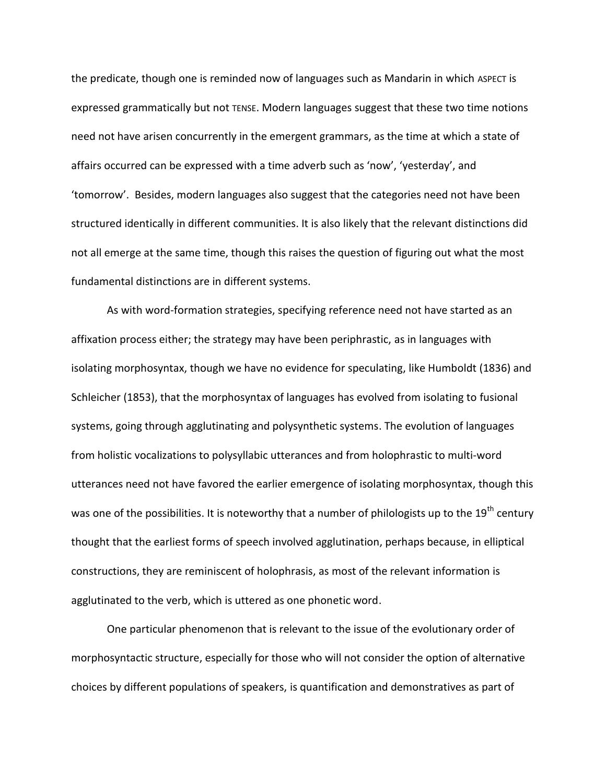the predicate, though one is reminded now of languages such as Mandarin in which ASPECT is expressed grammatically but not TENSE. Modern languages suggest that these two time notions need not have arisen concurrently in the emergent grammars, as the time at which a state of affairs occurred can be expressed with a time adverb such as 'now', 'yesterday', and 'tomorrow'. Besides, modern languages also suggest that the categories need not have been structured identically in different communities. It is also likely that the relevant distinctions did not all emerge at the same time, though this raises the question of figuring out what the most fundamental distinctions are in different systems.

As with word-formation strategies, specifying reference need not have started as an affixation process either; the strategy may have been periphrastic, as in languages with isolating morphosyntax, though we have no evidence for speculating, like Humboldt (1836) and Schleicher (1853), that the morphosyntax of languages has evolved from isolating to fusional systems, going through agglutinating and polysynthetic systems. The evolution of languages from holistic vocalizations to polysyllabic utterances and from holophrastic to multi-word utterances need not have favored the earlier emergence of isolating morphosyntax, though this was one of the possibilities. It is noteworthy that a number of philologists up to the 19<sup>th</sup> century thought that the earliest forms of speech involved agglutination, perhaps because, in elliptical constructions, they are reminiscent of holophrasis, as most of the relevant information is agglutinated to the verb, which is uttered as one phonetic word.

One particular phenomenon that is relevant to the issue of the evolutionary order of morphosyntactic structure, especially for those who will not consider the option of alternative choices by different populations of speakers, is quantification and demonstratives as part of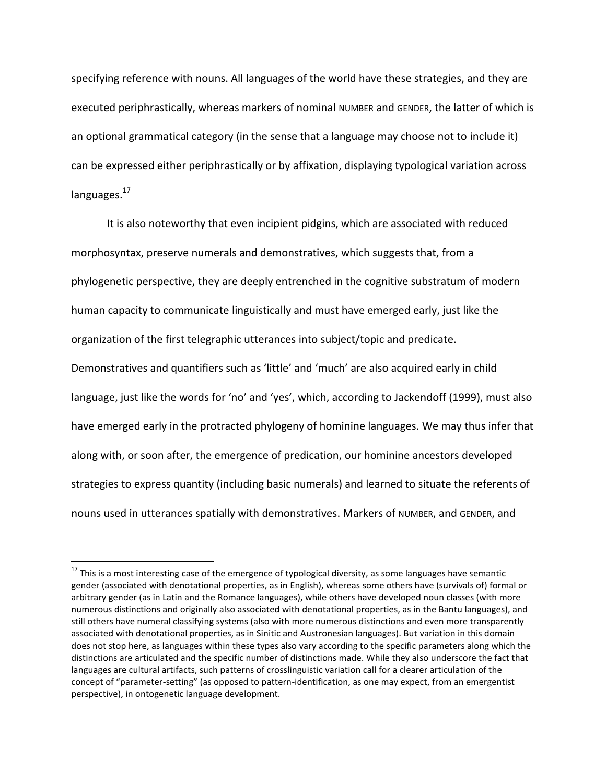specifying reference with nouns. All languages of the world have these strategies, and they are executed periphrastically, whereas markers of nominal NUMBER and GENDER, the latter of which is an optional grammatical category (in the sense that a language may choose not to include it) can be expressed either periphrastically or by affixation, displaying typological variation across languages.<sup>17</sup>

It is also noteworthy that even incipient pidgins, which are associated with reduced morphosyntax, preserve numerals and demonstratives, which suggests that, from a phylogenetic perspective, they are deeply entrenched in the cognitive substratum of modern human capacity to communicate linguistically and must have emerged early, just like the organization of the first telegraphic utterances into subject/topic and predicate. Demonstratives and quantifiers such as 'little' and 'much' are also acquired early in child language, just like the words for 'no' and 'yes', which, according to Jackendoff (1999), must also have emerged early in the protracted phylogeny of hominine languages. We may thus infer that along with, or soon after, the emergence of predication, our hominine ancestors developed strategies to express quantity (including basic numerals) and learned to situate the referents of nouns used in utterances spatially with demonstratives. Markers of NUMBER, and GENDER, and

 $17$  This is a most interesting case of the emergence of typological diversity, as some languages have semantic gender (associated with denotational properties, as in English), whereas some others have (survivals of) formal or arbitrary gender (as in Latin and the Romance languages), while others have developed noun classes (with more numerous distinctions and originally also associated with denotational properties, as in the Bantu languages), and still others have numeral classifying systems (also with more numerous distinctions and even more transparently associated with denotational properties, as in Sinitic and Austronesian languages). But variation in this domain does not stop here, as languages within these types also vary according to the specific parameters along which the distinctions are articulated and the specific number of distinctions made. While they also underscore the fact that languages are cultural artifacts, such patterns of crosslinguistic variation call for a clearer articulation of the concept of "parameter-setting" (as opposed to pattern-identification, as one may expect, from an emergentist perspective), in ontogenetic language development.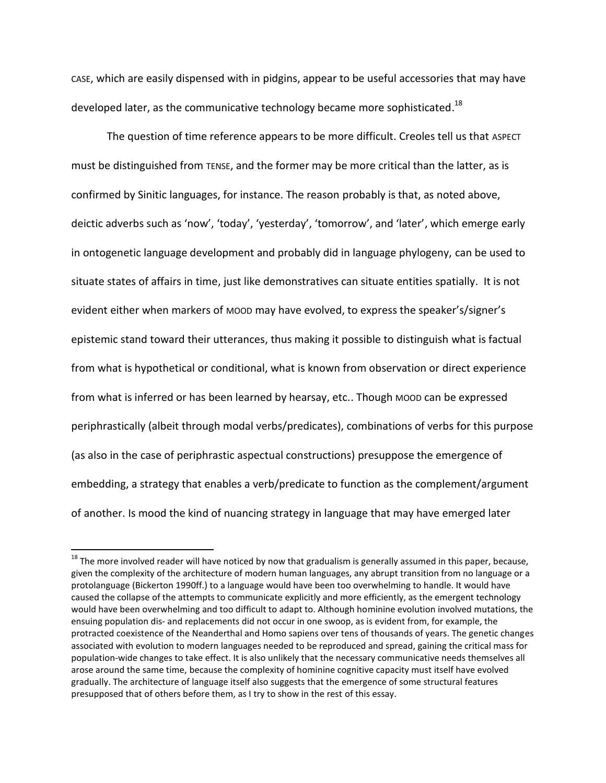CASE, which are easily dispensed with in pidgins, appear to be useful accessories that may have developed later, as the communicative technology became more sophisticated.<sup>18</sup>

The question of time reference appears to be more difficult. Creoles tell us that ASPECT must be distinguished from TENSE, and the former may be more critical than the latter, as is confirmed by Sinitic languages, for instance. The reason probably is that, as noted above, deictic adverbs such as 'now', 'today', 'yesterday', 'tomorrow', and 'later', which emerge early in ontogenetic language development and probably did in language phylogeny, can be used to situate states of affairs in time, just like demonstratives can situate entities spatially. It is not evident either when markers of MOOD may have evolved, to express the speaker's/signer's epistemic stand toward their utterances, thus making it possible to distinguish what is factual from what is hypothetical or conditional, what is known from observation or direct experience from what is inferred or has been learned by hearsay, etc.. Though MOOD can be expressed periphrastically (albeit through modal verbs/predicates), combinations of verbs for this purpose (as also in the case of periphrastic aspectual constructions) presuppose the emergence of embedding, a strategy that enables a verb/predicate to function as the complement/argument of another. Is mood the kind of nuancing strategy in language that may have emerged later

 $^{18}$  The more involved reader will have noticed by now that gradualism is generally assumed in this paper, because, given the complexity of the architecture of modern human languages, any abrupt transition from no language or a protolanguage (Bickerton 1990ff.) to a language would have been too overwhelming to handle. It would have caused the collapse of the attempts to communicate explicitly and more efficiently, as the emergent technology would have been overwhelming and too difficult to adapt to. Although hominine evolution involved mutations, the ensuing population dis- and replacements did not occur in one swoop, as is evident from, for example, the protracted coexistence of the Neanderthal and Homo sapiens over tens of thousands of years. The genetic changes associated with evolution to modern languages needed to be reproduced and spread, gaining the critical mass for population-wide changes to take effect. It is also unlikely that the necessary communicative needs themselves all arose around the same time, because the complexity of hominine cognitive capacity must itself have evolved gradually. The architecture of language itself also suggests that the emergence of some structural features presupposed that of others before them, as I try to show in the rest of this essay.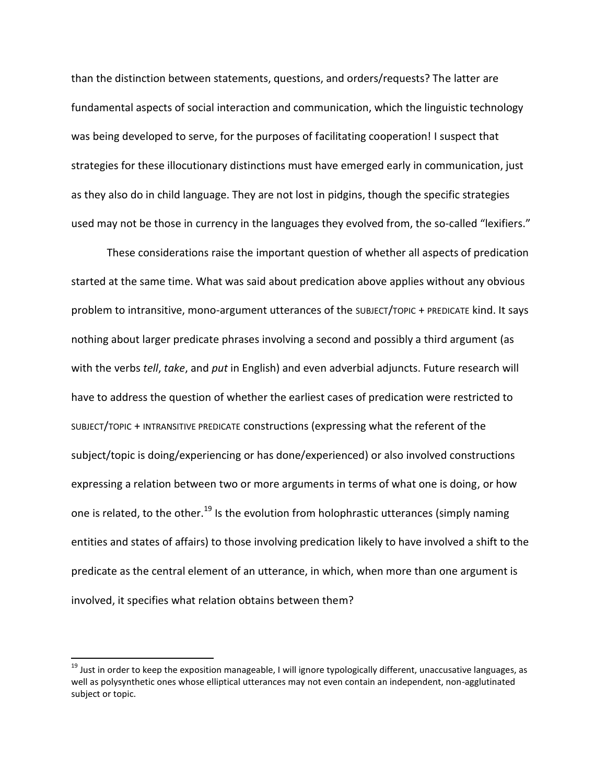than the distinction between statements, questions, and orders/requests? The latter are fundamental aspects of social interaction and communication, which the linguistic technology was being developed to serve, for the purposes of facilitating cooperation! I suspect that strategies for these illocutionary distinctions must have emerged early in communication, just as they also do in child language. They are not lost in pidgins, though the specific strategies used may not be those in currency in the languages they evolved from, the so-called "lexifiers."

These considerations raise the important question of whether all aspects of predication started at the same time. What was said about predication above applies without any obvious problem to intransitive, mono-argument utterances of the SUBJECT/TOPIC + PREDICATE kind. It says nothing about larger predicate phrases involving a second and possibly a third argument (as with the verbs *tell*, *take*, and *put* in English) and even adverbial adjuncts. Future research will have to address the question of whether the earliest cases of predication were restricted to SUBJECT/TOPIC + INTRANSITIVE PREDICATE constructions (expressing what the referent of the subject/topic is doing/experiencing or has done/experienced) or also involved constructions expressing a relation between two or more arguments in terms of what one is doing, or how one is related, to the other.<sup>19</sup> Is the evolution from holophrastic utterances (simply naming entities and states of affairs) to those involving predication likely to have involved a shift to the predicate as the central element of an utterance, in which, when more than one argument is involved, it specifies what relation obtains between them?

<sup>&</sup>lt;sup>19</sup> Just in order to keep the exposition manageable, I will ignore typologically different, unaccusative languages, as well as polysynthetic ones whose elliptical utterances may not even contain an independent, non-agglutinated subject or topic.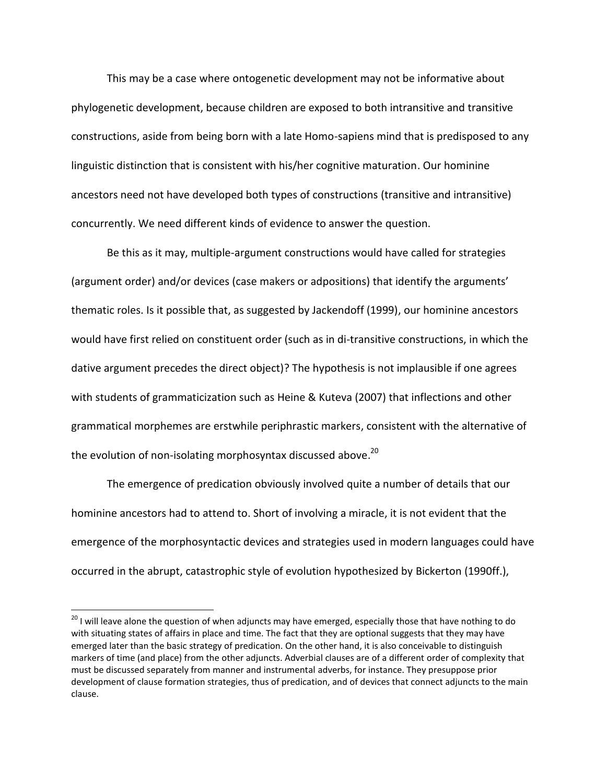This may be a case where ontogenetic development may not be informative about phylogenetic development, because children are exposed to both intransitive and transitive constructions, aside from being born with a late Homo-sapiens mind that is predisposed to any linguistic distinction that is consistent with his/her cognitive maturation. Our hominine ancestors need not have developed both types of constructions (transitive and intransitive) concurrently. We need different kinds of evidence to answer the question.

Be this as it may, multiple-argument constructions would have called for strategies (argument order) and/or devices (case makers or adpositions) that identify the arguments' thematic roles. Is it possible that, as suggested by Jackendoff (1999), our hominine ancestors would have first relied on constituent order (such as in di-transitive constructions, in which the dative argument precedes the direct object)? The hypothesis is not implausible if one agrees with students of grammaticization such as Heine & Kuteva (2007) that inflections and other grammatical morphemes are erstwhile periphrastic markers, consistent with the alternative of the evolution of non-isolating morphosyntax discussed above.<sup>20</sup>

The emergence of predication obviously involved quite a number of details that our hominine ancestors had to attend to. Short of involving a miracle, it is not evident that the emergence of the morphosyntactic devices and strategies used in modern languages could have occurred in the abrupt, catastrophic style of evolution hypothesized by Bickerton (1990ff.),

<sup>&</sup>lt;sup>20</sup> I will leave alone the question of when adjuncts may have emerged, especially those that have nothing to do with situating states of affairs in place and time. The fact that they are optional suggests that they may have emerged later than the basic strategy of predication. On the other hand, it is also conceivable to distinguish markers of time (and place) from the other adjuncts. Adverbial clauses are of a different order of complexity that must be discussed separately from manner and instrumental adverbs, for instance. They presuppose prior development of clause formation strategies, thus of predication, and of devices that connect adjuncts to the main clause.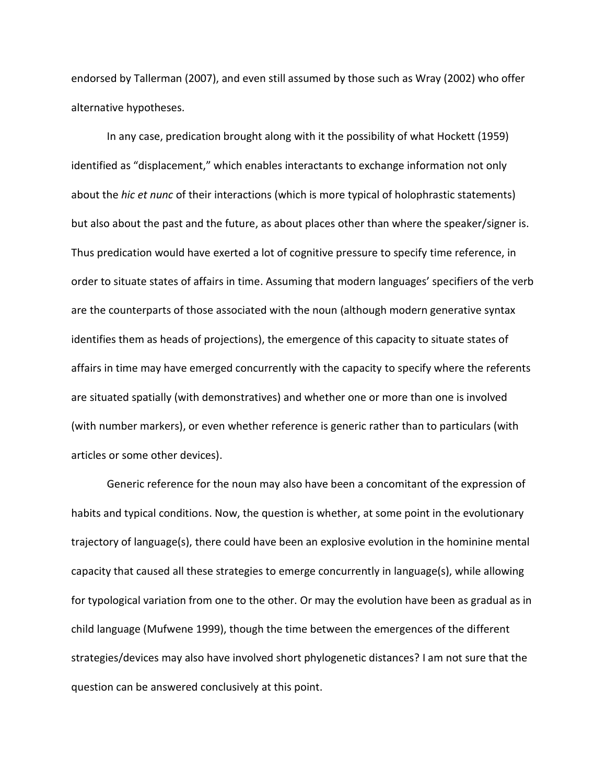endorsed by Tallerman (2007), and even still assumed by those such as Wray (2002) who offer alternative hypotheses.

In any case, predication brought along with it the possibility of what Hockett (1959) identified as "displacement," which enables interactants to exchange information not only about the *hic et nunc* of their interactions (which is more typical of holophrastic statements) but also about the past and the future, as about places other than where the speaker/signer is. Thus predication would have exerted a lot of cognitive pressure to specify time reference, in order to situate states of affairs in time. Assuming that modern languages' specifiers of the verb are the counterparts of those associated with the noun (although modern generative syntax identifies them as heads of projections), the emergence of this capacity to situate states of affairs in time may have emerged concurrently with the capacity to specify where the referents are situated spatially (with demonstratives) and whether one or more than one is involved (with number markers), or even whether reference is generic rather than to particulars (with articles or some other devices).

Generic reference for the noun may also have been a concomitant of the expression of habits and typical conditions. Now, the question is whether, at some point in the evolutionary trajectory of language(s), there could have been an explosive evolution in the hominine mental capacity that caused all these strategies to emerge concurrently in language(s), while allowing for typological variation from one to the other. Or may the evolution have been as gradual as in child language (Mufwene 1999), though the time between the emergences of the different strategies/devices may also have involved short phylogenetic distances? I am not sure that the question can be answered conclusively at this point.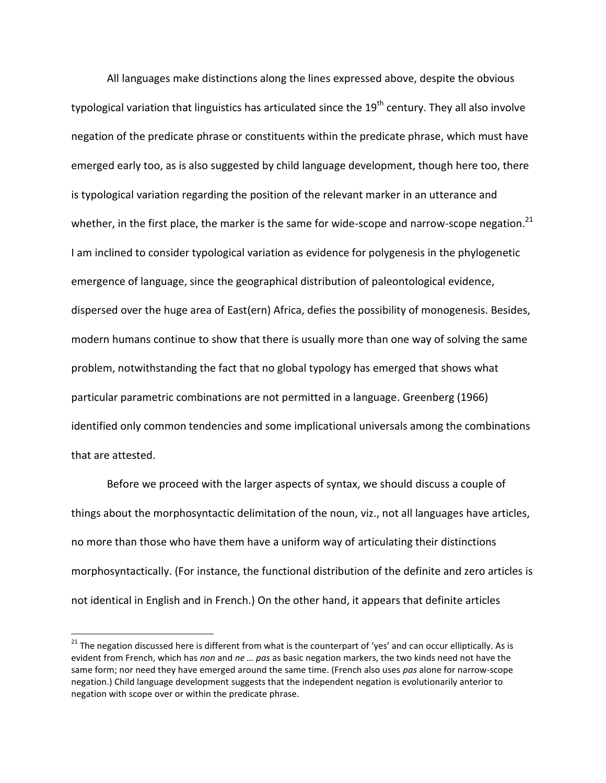All languages make distinctions along the lines expressed above, despite the obvious typological variation that linguistics has articulated since the  $19<sup>th</sup>$  century. They all also involve negation of the predicate phrase or constituents within the predicate phrase, which must have emerged early too, as is also suggested by child language development, though here too, there is typological variation regarding the position of the relevant marker in an utterance and whether, in the first place, the marker is the same for wide-scope and narrow-scope negation.<sup>21</sup> I am inclined to consider typological variation as evidence for polygenesis in the phylogenetic emergence of language, since the geographical distribution of paleontological evidence, dispersed over the huge area of East(ern) Africa, defies the possibility of monogenesis. Besides, modern humans continue to show that there is usually more than one way of solving the same problem, notwithstanding the fact that no global typology has emerged that shows what particular parametric combinations are not permitted in a language. Greenberg (1966) identified only common tendencies and some implicational universals among the combinations that are attested.

Before we proceed with the larger aspects of syntax, we should discuss a couple of things about the morphosyntactic delimitation of the noun, viz., not all languages have articles, no more than those who have them have a uniform way of articulating their distinctions morphosyntactically. (For instance, the functional distribution of the definite and zero articles is not identical in English and in French.) On the other hand, it appears that definite articles

<sup>&</sup>lt;sup>21</sup> The negation discussed here is different from what is the counterpart of 'yes' and can occur elliptically. As is evident from French, which has *non* and *ne … pas* as basic negation markers, the two kinds need not have the same form; nor need they have emerged around the same time. (French also uses *pas* alone for narrow-scope negation.) Child language development suggests that the independent negation is evolutionarily anterior to negation with scope over or within the predicate phrase.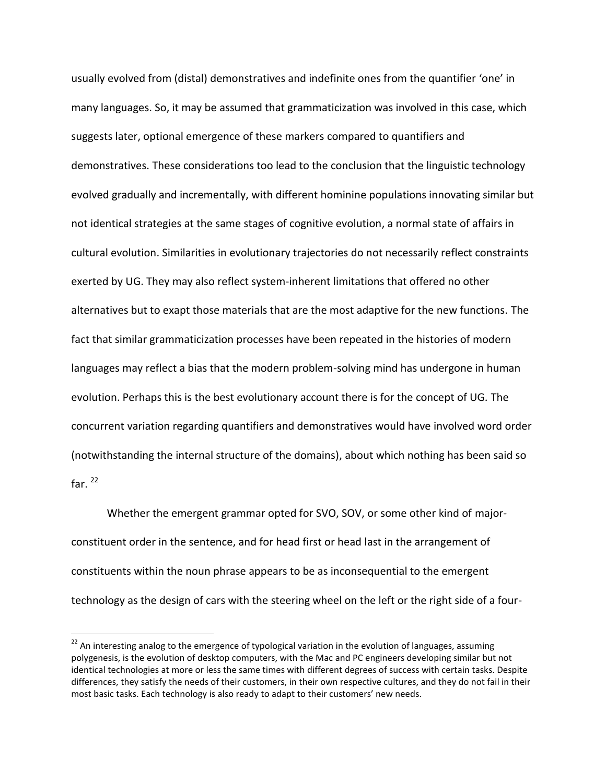usually evolved from (distal) demonstratives and indefinite ones from the quantifier 'one' in many languages. So, it may be assumed that grammaticization was involved in this case, which suggests later, optional emergence of these markers compared to quantifiers and demonstratives. These considerations too lead to the conclusion that the linguistic technology evolved gradually and incrementally, with different hominine populations innovating similar but not identical strategies at the same stages of cognitive evolution, a normal state of affairs in cultural evolution. Similarities in evolutionary trajectories do not necessarily reflect constraints exerted by UG. They may also reflect system-inherent limitations that offered no other alternatives but to exapt those materials that are the most adaptive for the new functions. The fact that similar grammaticization processes have been repeated in the histories of modern languages may reflect a bias that the modern problem-solving mind has undergone in human evolution. Perhaps this is the best evolutionary account there is for the concept of UG. The concurrent variation regarding quantifiers and demonstratives would have involved word order (notwithstanding the internal structure of the domains), about which nothing has been said so far.  $^{22}$ 

Whether the emergent grammar opted for SVO, SOV, or some other kind of majorconstituent order in the sentence, and for head first or head last in the arrangement of constituents within the noun phrase appears to be as inconsequential to the emergent technology as the design of cars with the steering wheel on the left or the right side of a four-

<sup>&</sup>lt;sup>22</sup> An interesting analog to the emergence of typological variation in the evolution of languages, assuming polygenesis, is the evolution of desktop computers, with the Mac and PC engineers developing similar but not identical technologies at more or less the same times with different degrees of success with certain tasks. Despite differences, they satisfy the needs of their customers, in their own respective cultures, and they do not fail in their most basic tasks. Each technology is also ready to adapt to their customers' new needs.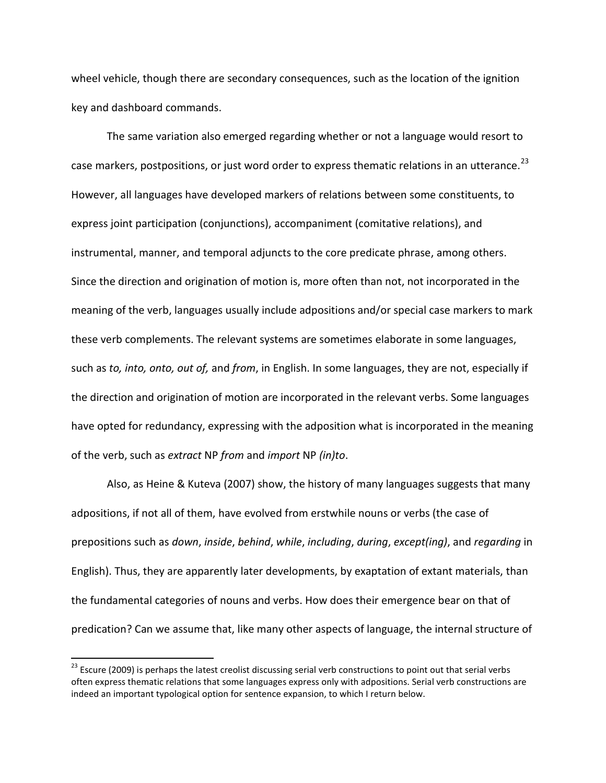wheel vehicle, though there are secondary consequences, such as the location of the ignition key and dashboard commands.

The same variation also emerged regarding whether or not a language would resort to case markers, postpositions, or just word order to express thematic relations in an utterance.<sup>23</sup> However, all languages have developed markers of relations between some constituents, to express joint participation (conjunctions), accompaniment (comitative relations), and instrumental, manner, and temporal adjuncts to the core predicate phrase, among others. Since the direction and origination of motion is, more often than not, not incorporated in the meaning of the verb, languages usually include adpositions and/or special case markers to mark these verb complements. The relevant systems are sometimes elaborate in some languages, such as *to, into, onto, out of,* and *from*, in English. In some languages, they are not, especially if the direction and origination of motion are incorporated in the relevant verbs. Some languages have opted for redundancy, expressing with the adposition what is incorporated in the meaning of the verb, such as *extract* NP *from* and *import* NP *(in)to*.

Also, as Heine & Kuteva (2007) show, the history of many languages suggests that many adpositions, if not all of them, have evolved from erstwhile nouns or verbs (the case of prepositions such as *down*, *inside*, *behind*, *while*, *including*, *during*, *except(ing)*, and *regarding* in English). Thus, they are apparently later developments, by exaptation of extant materials, than the fundamental categories of nouns and verbs. How does their emergence bear on that of predication? Can we assume that, like many other aspects of language, the internal structure of

 $^{23}$  Escure (2009) is perhaps the latest creolist discussing serial verb constructions to point out that serial verbs often express thematic relations that some languages express only with adpositions. Serial verb constructions are indeed an important typological option for sentence expansion, to which I return below.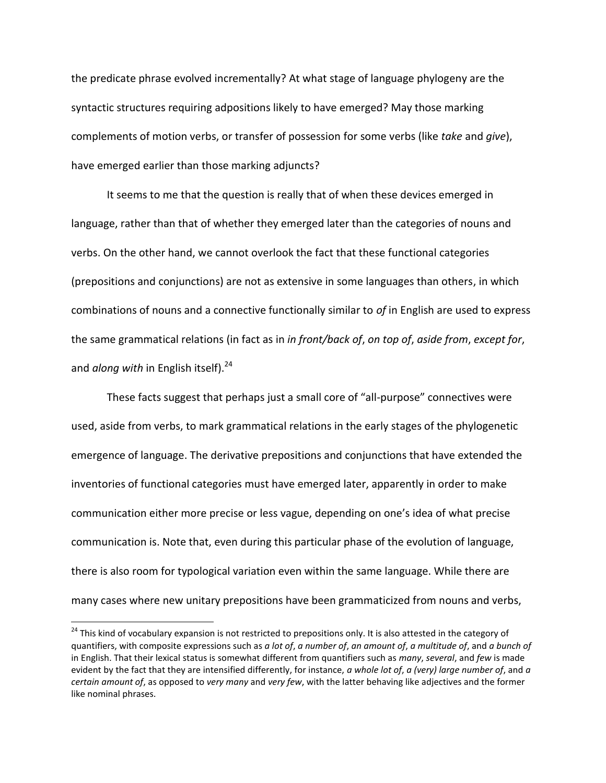the predicate phrase evolved incrementally? At what stage of language phylogeny are the syntactic structures requiring adpositions likely to have emerged? May those marking complements of motion verbs, or transfer of possession for some verbs (like *take* and *give*), have emerged earlier than those marking adjuncts?

It seems to me that the question is really that of when these devices emerged in language, rather than that of whether they emerged later than the categories of nouns and verbs. On the other hand, we cannot overlook the fact that these functional categories (prepositions and conjunctions) are not as extensive in some languages than others, in which combinations of nouns and a connective functionally similar to *of* in English are used to express the same grammatical relations (in fact as in *in front/back of*, *on top of*, *aside from*, *except for*, and *along with* in English itself). 24

These facts suggest that perhaps just a small core of "all-purpose" connectives were used, aside from verbs, to mark grammatical relations in the early stages of the phylogenetic emergence of language. The derivative prepositions and conjunctions that have extended the inventories of functional categories must have emerged later, apparently in order to make communication either more precise or less vague, depending on one's idea of what precise communication is. Note that, even during this particular phase of the evolution of language, there is also room for typological variation even within the same language. While there are many cases where new unitary prepositions have been grammaticized from nouns and verbs,

<sup>&</sup>lt;sup>24</sup> This kind of vocabulary expansion is not restricted to prepositions only. It is also attested in the category of quantifiers, with composite expressions such as *a lot of*, *a number of*, *an amount of*, *a multitude of*, and *a bunch of* in English. That their lexical status is somewhat different from quantifiers such as *many*, *several*, and *few* is made evident by the fact that they are intensified differently, for instance, *a whole lot of*, *a (very) large number of*, and *a certain amount of*, as opposed to *very many* and *very few*, with the latter behaving like adjectives and the former like nominal phrases.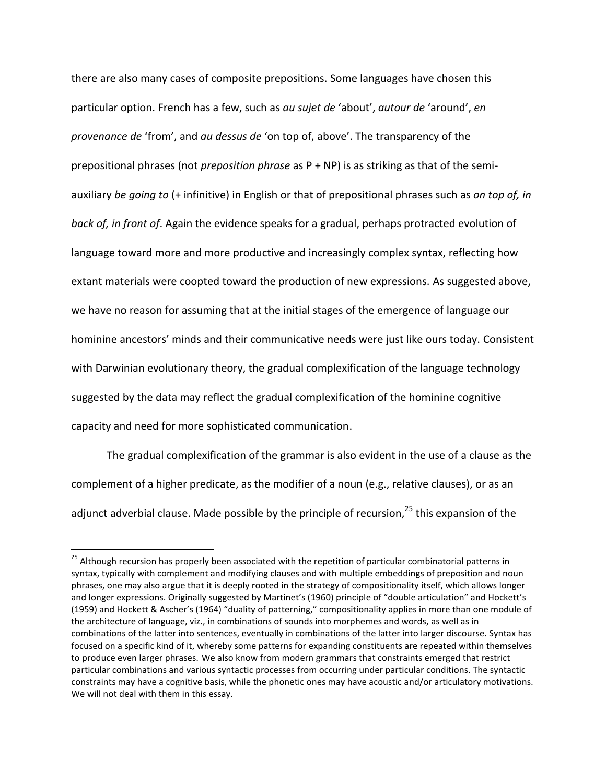there are also many cases of composite prepositions. Some languages have chosen this particular option. French has a few, such as *au sujet de* 'about', *autour de* 'around', *en provenance de* 'from', and *au dessus de* 'on top of, above'. The transparency of the prepositional phrases (not *preposition phrase* as P + NP) is as striking as that of the semiauxiliary *be going to* (+ infinitive) in English or that of prepositional phrases such as *on top of, in back of, in front of*. Again the evidence speaks for a gradual, perhaps protracted evolution of language toward more and more productive and increasingly complex syntax, reflecting how extant materials were coopted toward the production of new expressions. As suggested above, we have no reason for assuming that at the initial stages of the emergence of language our hominine ancestors' minds and their communicative needs were just like ours today. Consistent with Darwinian evolutionary theory, the gradual complexification of the language technology suggested by the data may reflect the gradual complexification of the hominine cognitive capacity and need for more sophisticated communication.

The gradual complexification of the grammar is also evident in the use of a clause as the complement of a higher predicate, as the modifier of a noun (e.g., relative clauses), or as an adjunct adverbial clause. Made possible by the principle of recursion, $^{25}$  this expansion of the

<sup>&</sup>lt;sup>25</sup> Although recursion has properly been associated with the repetition of particular combinatorial patterns in syntax, typically with complement and modifying clauses and with multiple embeddings of preposition and noun phrases, one may also argue that it is deeply rooted in the strategy of compositionality itself, which allows longer and longer expressions. Originally suggested by Martinet's (1960) principle of "double articulation" and Hockett's (1959) and Hockett & Ascher's (1964) "duality of patterning," compositionality applies in more than one module of the architecture of language, viz., in combinations of sounds into morphemes and words, as well as in combinations of the latter into sentences, eventually in combinations of the latter into larger discourse. Syntax has focused on a specific kind of it, whereby some patterns for expanding constituents are repeated within themselves to produce even larger phrases. We also know from modern grammars that constraints emerged that restrict particular combinations and various syntactic processes from occurring under particular conditions. The syntactic constraints may have a cognitive basis, while the phonetic ones may have acoustic and/or articulatory motivations. We will not deal with them in this essay.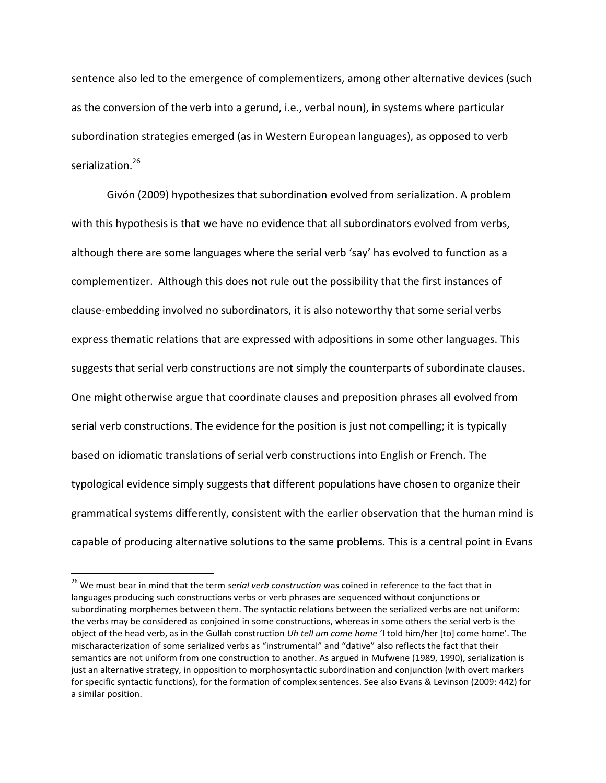sentence also led to the emergence of complementizers, among other alternative devices (such as the conversion of the verb into a gerund, i.e., verbal noun), in systems where particular subordination strategies emerged (as in Western European languages), as opposed to verb serialization.<sup>26</sup>

Givón (2009) hypothesizes that subordination evolved from serialization. A problem with this hypothesis is that we have no evidence that all subordinators evolved from verbs, although there are some languages where the serial verb 'say' has evolved to function as a complementizer. Although this does not rule out the possibility that the first instances of clause-embedding involved no subordinators, it is also noteworthy that some serial verbs express thematic relations that are expressed with adpositions in some other languages. This suggests that serial verb constructions are not simply the counterparts of subordinate clauses. One might otherwise argue that coordinate clauses and preposition phrases all evolved from serial verb constructions. The evidence for the position is just not compelling; it is typically based on idiomatic translations of serial verb constructions into English or French. The typological evidence simply suggests that different populations have chosen to organize their grammatical systems differently, consistent with the earlier observation that the human mind is capable of producing alternative solutions to the same problems. This is a central point in Evans

<sup>26</sup> We must bear in mind that the term *serial verb construction* was coined in reference to the fact that in languages producing such constructions verbs or verb phrases are sequenced without conjunctions or subordinating morphemes between them. The syntactic relations between the serialized verbs are not uniform: the verbs may be considered as conjoined in some constructions, whereas in some others the serial verb is the object of the head verb, as in the Gullah construction *Uh tell um come home* 'I told him/her [to] come home'. The mischaracterization of some serialized verbs as "instrumental" and "dative" also reflects the fact that their semantics are not uniform from one construction to another. As argued in Mufwene (1989, 1990), serialization is just an alternative strategy, in opposition to morphosyntactic subordination and conjunction (with overt markers for specific syntactic functions), for the formation of complex sentences. See also Evans & Levinson (2009: 442) for a similar position.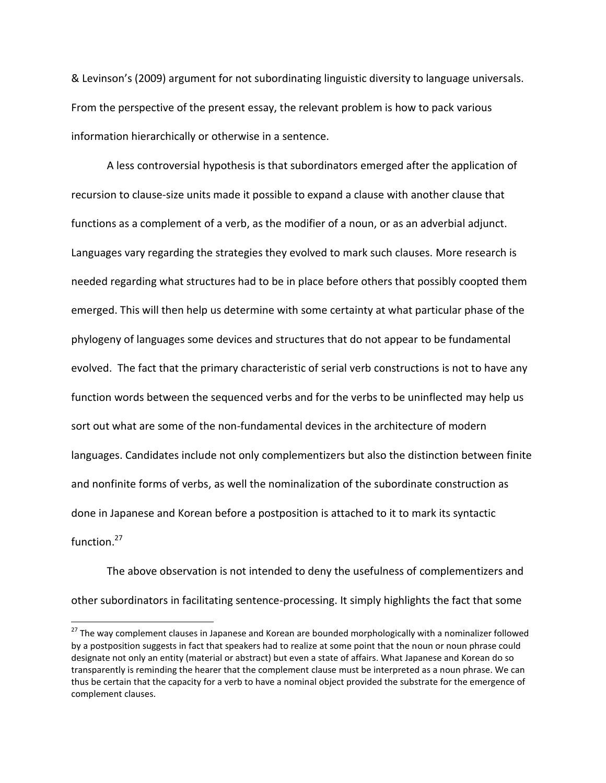& Levinson's (2009) argument for not subordinating linguistic diversity to language universals. From the perspective of the present essay, the relevant problem is how to pack various information hierarchically or otherwise in a sentence.

A less controversial hypothesis is that subordinators emerged after the application of recursion to clause-size units made it possible to expand a clause with another clause that functions as a complement of a verb, as the modifier of a noun, or as an adverbial adjunct. Languages vary regarding the strategies they evolved to mark such clauses. More research is needed regarding what structures had to be in place before others that possibly coopted them emerged. This will then help us determine with some certainty at what particular phase of the phylogeny of languages some devices and structures that do not appear to be fundamental evolved. The fact that the primary characteristic of serial verb constructions is not to have any function words between the sequenced verbs and for the verbs to be uninflected may help us sort out what are some of the non-fundamental devices in the architecture of modern languages. Candidates include not only complementizers but also the distinction between finite and nonfinite forms of verbs, as well the nominalization of the subordinate construction as done in Japanese and Korean before a postposition is attached to it to mark its syntactic function $27$ 

The above observation is not intended to deny the usefulness of complementizers and other subordinators in facilitating sentence-processing. It simply highlights the fact that some

<sup>&</sup>lt;sup>27</sup> The way complement clauses in Japanese and Korean are bounded morphologically with a nominalizer followed by a postposition suggests in fact that speakers had to realize at some point that the noun or noun phrase could designate not only an entity (material or abstract) but even a state of affairs. What Japanese and Korean do so transparently is reminding the hearer that the complement clause must be interpreted as a noun phrase. We can thus be certain that the capacity for a verb to have a nominal object provided the substrate for the emergence of complement clauses.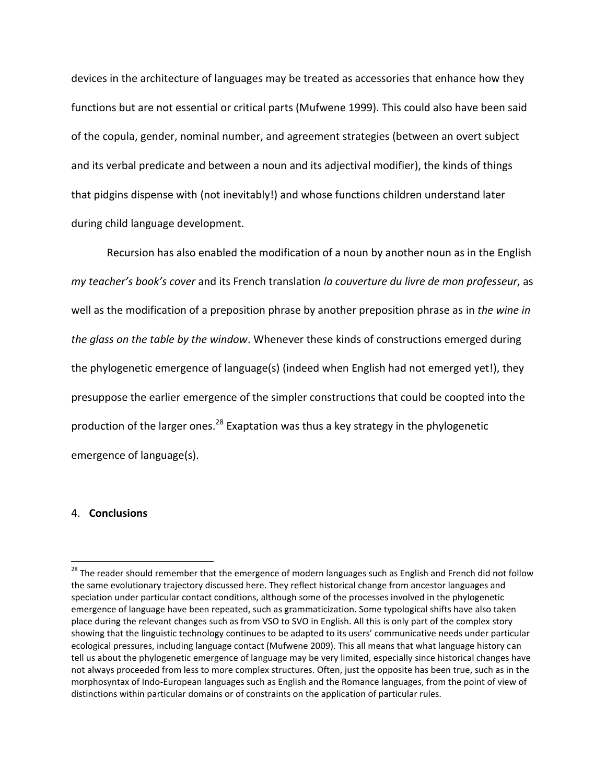devices in the architecture of languages may be treated as accessories that enhance how they functions but are not essential or critical parts (Mufwene 1999). This could also have been said of the copula, gender, nominal number, and agreement strategies (between an overt subject and its verbal predicate and between a noun and its adjectival modifier), the kinds of things that pidgins dispense with (not inevitably!) and whose functions children understand later during child language development.

Recursion has also enabled the modification of a noun by another noun as in the English *my teacher's book's cover* and its French translation *la couverture du livre de mon professeur*, as well as the modification of a preposition phrase by another preposition phrase as in *the wine in the glass on the table by the window*. Whenever these kinds of constructions emerged during the phylogenetic emergence of language(s) (indeed when English had not emerged yet!), they presuppose the earlier emergence of the simpler constructions that could be coopted into the production of the larger ones. $^{28}$  Exaptation was thus a key strategy in the phylogenetic emergence of language(s).

## 4. **Conclusions**

<sup>&</sup>lt;sup>28</sup> The reader should remember that the emergence of modern languages such as English and French did not follow the same evolutionary trajectory discussed here. They reflect historical change from ancestor languages and speciation under particular contact conditions, although some of the processes involved in the phylogenetic emergence of language have been repeated, such as grammaticization. Some typological shifts have also taken place during the relevant changes such as from VSO to SVO in English. All this is only part of the complex story showing that the linguistic technology continues to be adapted to its users' communicative needs under particular ecological pressures, including language contact (Mufwene 2009). This all means that what language history can tell us about the phylogenetic emergence of language may be very limited, especially since historical changes have not always proceeded from less to more complex structures. Often, just the opposite has been true, such as in the morphosyntax of Indo-European languages such as English and the Romance languages, from the point of view of distinctions within particular domains or of constraints on the application of particular rules.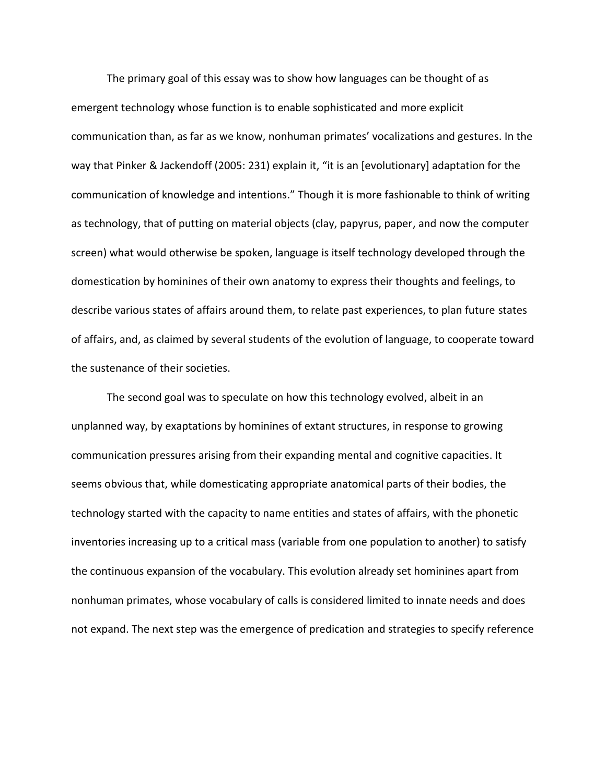The primary goal of this essay was to show how languages can be thought of as emergent technology whose function is to enable sophisticated and more explicit communication than, as far as we know, nonhuman primates' vocalizations and gestures. In the way that Pinker & Jackendoff (2005: 231) explain it, "it is an [evolutionary] adaptation for the communication of knowledge and intentions." Though it is more fashionable to think of writing as technology, that of putting on material objects (clay, papyrus, paper, and now the computer screen) what would otherwise be spoken, language is itself technology developed through the domestication by hominines of their own anatomy to express their thoughts and feelings, to describe various states of affairs around them, to relate past experiences, to plan future states of affairs, and, as claimed by several students of the evolution of language, to cooperate toward the sustenance of their societies.

The second goal was to speculate on how this technology evolved, albeit in an unplanned way, by exaptations by hominines of extant structures, in response to growing communication pressures arising from their expanding mental and cognitive capacities. It seems obvious that, while domesticating appropriate anatomical parts of their bodies, the technology started with the capacity to name entities and states of affairs, with the phonetic inventories increasing up to a critical mass (variable from one population to another) to satisfy the continuous expansion of the vocabulary. This evolution already set hominines apart from nonhuman primates, whose vocabulary of calls is considered limited to innate needs and does not expand. The next step was the emergence of predication and strategies to specify reference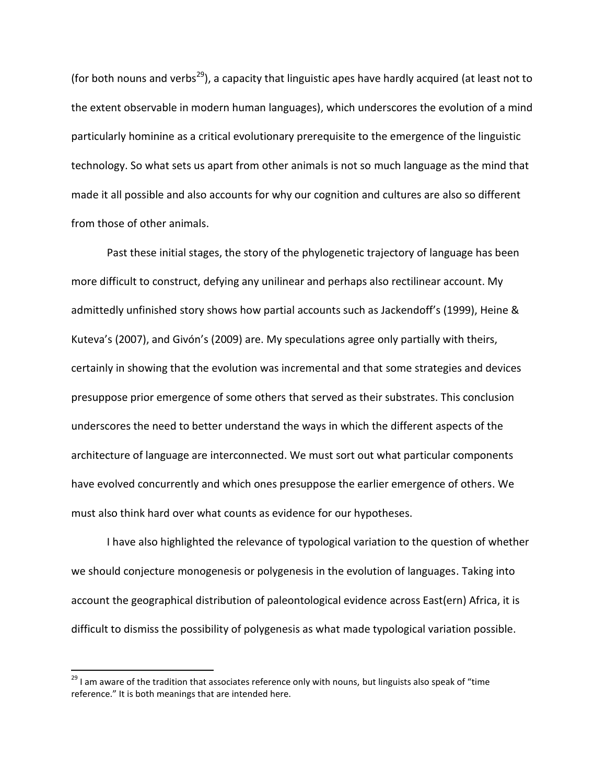(for both nouns and verbs<sup>29</sup>), a capacity that linguistic apes have hardly acquired (at least not to the extent observable in modern human languages), which underscores the evolution of a mind particularly hominine as a critical evolutionary prerequisite to the emergence of the linguistic technology. So what sets us apart from other animals is not so much language as the mind that made it all possible and also accounts for why our cognition and cultures are also so different from those of other animals.

Past these initial stages, the story of the phylogenetic trajectory of language has been more difficult to construct, defying any unilinear and perhaps also rectilinear account. My admittedly unfinished story shows how partial accounts such as Jackendoff's (1999), Heine & Kuteva's (2007), and Givón's (2009) are. My speculations agree only partially with theirs, certainly in showing that the evolution was incremental and that some strategies and devices presuppose prior emergence of some others that served as their substrates. This conclusion underscores the need to better understand the ways in which the different aspects of the architecture of language are interconnected. We must sort out what particular components have evolved concurrently and which ones presuppose the earlier emergence of others. We must also think hard over what counts as evidence for our hypotheses.

I have also highlighted the relevance of typological variation to the question of whether we should conjecture monogenesis or polygenesis in the evolution of languages. Taking into account the geographical distribution of paleontological evidence across East(ern) Africa, it is difficult to dismiss the possibility of polygenesis as what made typological variation possible.

<sup>&</sup>lt;sup>29</sup> I am aware of the tradition that associates reference only with nouns, but linguists also speak of "time reference." It is both meanings that are intended here.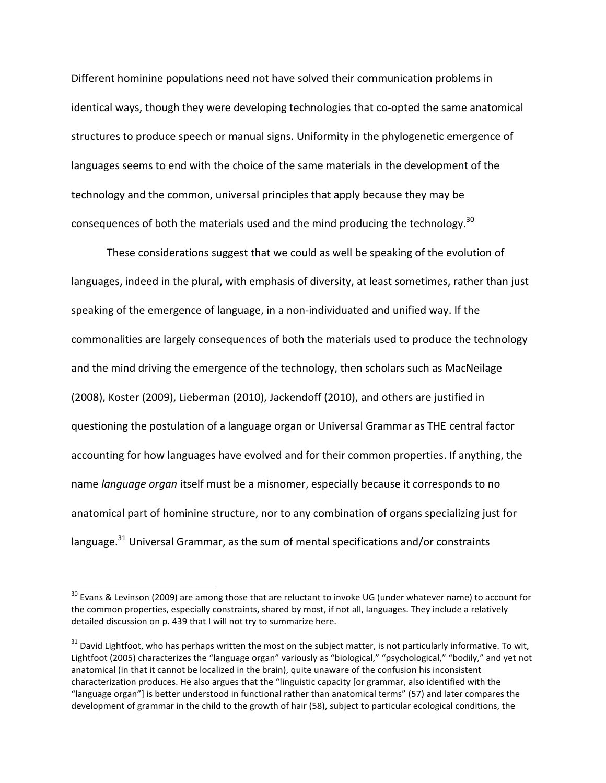Different hominine populations need not have solved their communication problems in identical ways, though they were developing technologies that co-opted the same anatomical structures to produce speech or manual signs. Uniformity in the phylogenetic emergence of languages seems to end with the choice of the same materials in the development of the technology and the common, universal principles that apply because they may be consequences of both the materials used and the mind producing the technology.<sup>30</sup>

These considerations suggest that we could as well be speaking of the evolution of languages, indeed in the plural, with emphasis of diversity, at least sometimes, rather than just speaking of the emergence of language, in a non-individuated and unified way. If the commonalities are largely consequences of both the materials used to produce the technology and the mind driving the emergence of the technology, then scholars such as MacNeilage (2008), Koster (2009), Lieberman (2010), Jackendoff (2010), and others are justified in questioning the postulation of a language organ or Universal Grammar as THE central factor accounting for how languages have evolved and for their common properties. If anything, the name *language organ* itself must be a misnomer, especially because it corresponds to no anatomical part of hominine structure, nor to any combination of organs specializing just for language. $^{31}$  Universal Grammar, as the sum of mental specifications and/or constraints

<sup>&</sup>lt;sup>30</sup> Evans & Levinson (2009) are among those that are reluctant to invoke UG (under whatever name) to account for the common properties, especially constraints, shared by most, if not all, languages. They include a relatively detailed discussion on p. 439 that I will not try to summarize here.

 $31$  David Lightfoot, who has perhaps written the most on the subject matter, is not particularly informative. To wit, Lightfoot (2005) characterizes the "language organ" variously as "biological," "psychological," "bodily," and yet not anatomical (in that it cannot be localized in the brain), quite unaware of the confusion his inconsistent characterization produces. He also argues that the "linguistic capacity [or grammar, also identified with the "language organ"] is better understood in functional rather than anatomical terms" (57) and later compares the development of grammar in the child to the growth of hair (58), subject to particular ecological conditions, the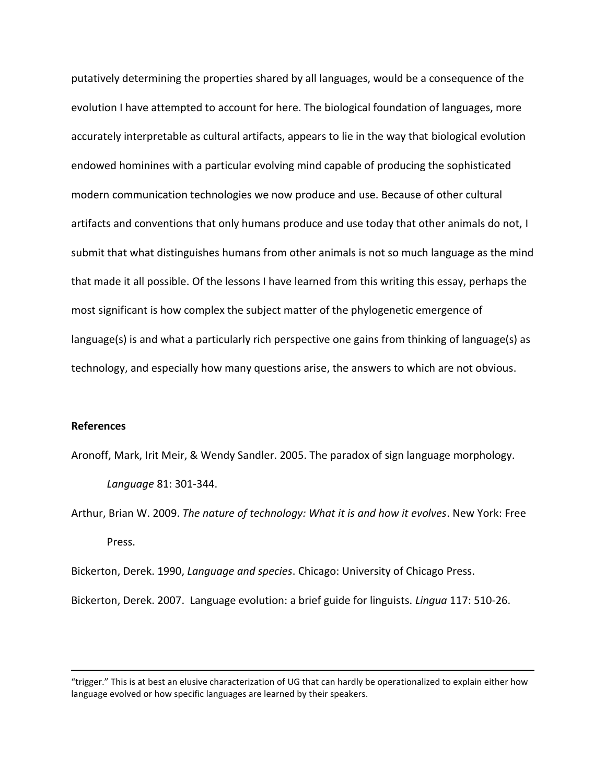putatively determining the properties shared by all languages, would be a consequence of the evolution I have attempted to account for here. The biological foundation of languages, more accurately interpretable as cultural artifacts, appears to lie in the way that biological evolution endowed hominines with a particular evolving mind capable of producing the sophisticated modern communication technologies we now produce and use. Because of other cultural artifacts and conventions that only humans produce and use today that other animals do not, I submit that what distinguishes humans from other animals is not so much language as the mind that made it all possible. Of the lessons I have learned from this writing this essay, perhaps the most significant is how complex the subject matter of the phylogenetic emergence of language(s) is and what a particularly rich perspective one gains from thinking of language(s) as technology, and especially how many questions arise, the answers to which are not obvious.

## **References**

 $\overline{\phantom{a}}$ 

Aronoff, Mark, Irit Meir, & Wendy Sandler. 2005. The paradox of sign language morphology. *Language* 81: 301-344.

Arthur, Brian W. 2009. *The nature of technology: What it is and how it evolves*. New York: Free Press.

Bickerton, Derek. 1990, *Language and species*. Chicago: University of Chicago Press.

Bickerton, Derek. 2007. Language evolution: a brief guide for linguists. *Lingua* 117: 510-26.

<sup>&</sup>quot;trigger." This is at best an elusive characterization of UG that can hardly be operationalized to explain either how language evolved or how specific languages are learned by their speakers.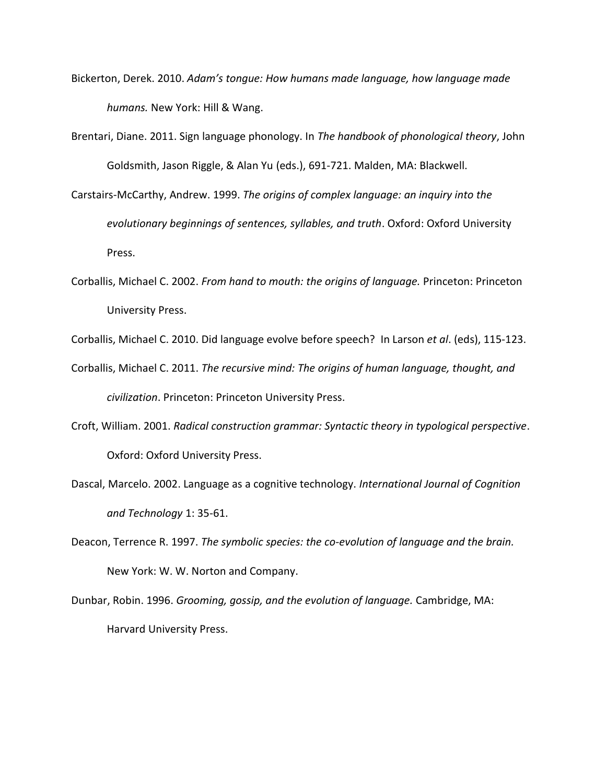- Bickerton, Derek. 2010. *Adam's tongue: How humans made language, how language made humans.* New York: Hill & Wang.
- Brentari, Diane. 2011. Sign language phonology. In *The handbook of phonological theory*, John Goldsmith, Jason Riggle, & Alan Yu (eds.), 691-721. Malden, MA: Blackwell.
- Carstairs-McCarthy, Andrew. 1999. *The origins of complex language: an inquiry into the evolutionary beginnings of sentences, syllables, and truth*. Oxford: Oxford University Press.
- Corballis, Michael C. 2002. *From hand to mouth: the origins of language.* Princeton: Princeton University Press.

Corballis, Michael C. 2010. Did language evolve before speech? In Larson *et al*. (eds), 115-123.

- Corballis, Michael C. 2011. *The recursive mind: The origins of human language, thought, and civilization*. Princeton: Princeton University Press.
- Croft, William. 2001. *Radical construction grammar: Syntactic theory in typological perspective*. Oxford: Oxford University Press.
- Dascal, Marcelo. 2002. Language as a cognitive technology. *International Journal of Cognition and Technology* 1: 35-61.
- Deacon, Terrence R. 1997. *The symbolic species: the co-evolution of language and the brain.* New York: W. W. Norton and Company.
- Dunbar, Robin. 1996. *Grooming, gossip, and the evolution of language.* Cambridge, MA: Harvard University Press.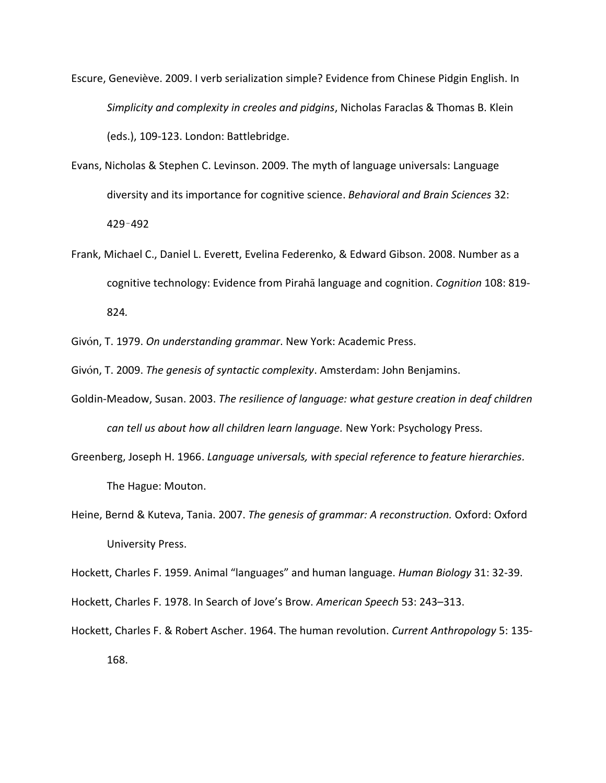Escure, Geneviève. 2009. I verb serialization simple? Evidence from Chinese Pidgin English. In *Simplicity and complexity in creoles and pidgins*, Nicholas Faraclas & Thomas B. Klein (eds.), 109-123. London: Battlebridge.

Evans, Nicholas & Stephen C. Levinson. 2009. The myth of language universals: Language diversity and its importance for cognitive science. *Behavioral and Brain Sciences* 32: 429–492

Frank, Michael C., Daniel L. Everett, Evelina Federenko, & Edward Gibson. 2008. Number as a cognitive technology: Evidence from Piraha language and cognition. *Cognition* 108: 819-824*.*

Givón, T. 1979. On understanding grammar. New York: Academic Press.

Givón, T. 2009. *The genesis of syntactic complexity*. Amsterdam: John Benjamins.

- Goldin-Meadow, Susan. 2003. *The resilience of language: what gesture creation in deaf children can tell us about how all children learn language.* New York: Psychology Press.
- Greenberg, Joseph H. 1966. *Language universals, with special reference to feature hierarchies.* The Hague: Mouton.
- Heine, Bernd & Kuteva, Tania. 2007. *The genesis of grammar: A reconstruction.* Oxford: Oxford University Press.

Hockett, Charles F. 1959. Animal "languages" and human language. *Human Biology* 31: 32-39.

Hockett, Charles F. 1978. In Search of Jove's Brow. *American Speech* 53: 243–313.

Hockett, Charles F. & Robert Ascher. 1964. The human revolution. *Current Anthropology* 5: 135- 168.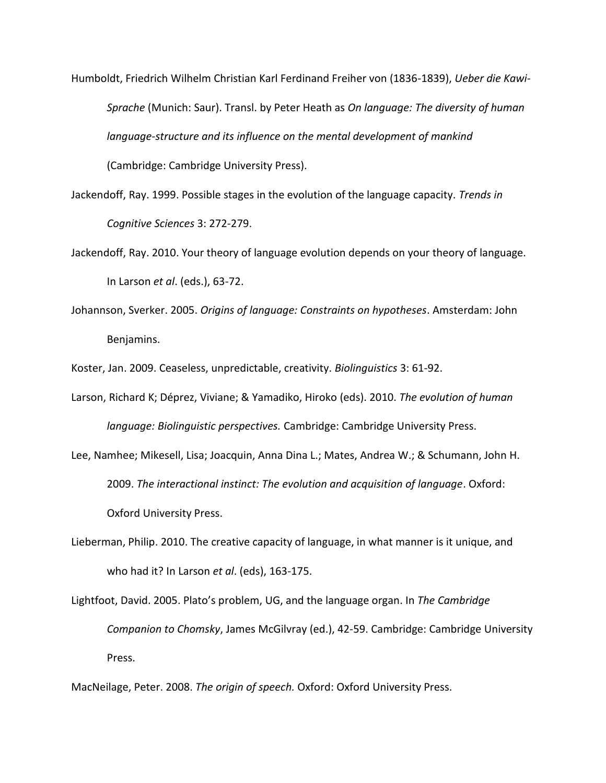Humboldt, Friedrich Wilhelm Christian Karl Ferdinand Freiher von (1836-1839), *Ueber die Kawi-Sprache* (Munich: Saur). Transl. by Peter Heath as *On language: The diversity of human language-structure and its influence on the mental development of mankind* (Cambridge: Cambridge University Press).

Jackendoff, Ray. 1999. Possible stages in the evolution of the language capacity. *Trends in Cognitive Sciences* 3: 272-279.

Jackendoff, Ray. 2010. Your theory of language evolution depends on your theory of language. In Larson *et al*. (eds.), 63-72.

Johannson, Sverker. 2005. *Origins of language: Constraints on hypotheses*. Amsterdam: John Benjamins.

Koster, Jan. 2009. Ceaseless, unpredictable, creativity. *Biolinguistics* 3: 61-92.

- Larson, Richard K; Déprez, Viviane; & Yamadiko, Hiroko (eds). 2010. *The evolution of human language: Biolinguistic perspectives.* Cambridge: Cambridge University Press.
- Lee, Namhee; Mikesell, Lisa; Joacquin, Anna Dina L.; Mates, Andrea W.; & Schumann, John H. 2009. *The interactional instinct: The evolution and acquisition of language*. Oxford: Oxford University Press.
- Lieberman, Philip. 2010. The creative capacity of language, in what manner is it unique, and who had it? In Larson *et al*. (eds), 163-175.

Lightfoot, David. 2005. Plato's problem, UG, and the language organ. In *The Cambridge Companion to Chomsky*, James McGilvray (ed.), 42-59. Cambridge: Cambridge University Press.

MacNeilage, Peter. 2008. *The origin of speech.* Oxford: Oxford University Press.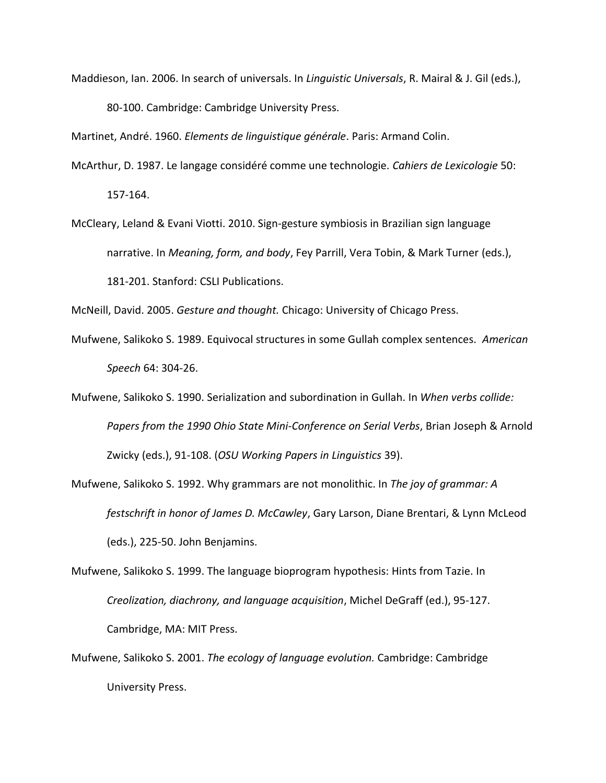Maddieson, Ian. 2006. In search of universals. In *Linguistic Universals*, R. Mairal & J. Gil (eds.), 80-100. Cambridge: Cambridge University Press.

Martinet, André. 1960. *Elements de linguistique générale*. Paris: Armand Colin.

McArthur, D. 1987. Le langage considéré comme une technologie. *Cahiers de Lexicologie* 50:

157-164.

McCleary, Leland & Evani Viotti. 2010. Sign-gesture symbiosis in Brazilian sign language narrative. In *Meaning, form, and body*, Fey Parrill, Vera Tobin, & Mark Turner (eds.), 181-201. Stanford: CSLI Publications.

McNeill, David. 2005. *Gesture and thought.* Chicago: University of Chicago Press.

- Mufwene, Salikoko S. 1989. Equivocal structures in some Gullah complex sentences. *American Speech* 64: 304-26.
- Mufwene, Salikoko S. 1990. Serialization and subordination in Gullah. In *When verbs collide: Papers from the 1990 Ohio State Mini-Conference on Serial Verbs*, Brian Joseph & Arnold Zwicky (eds.), 91-108. (*OSU Working Papers in Linguistics* 39).
- Mufwene, Salikoko S. 1992. Why grammars are not monolithic. In *The joy of grammar: A festschrift in honor of James D. McCawley*, Gary Larson, Diane Brentari, & Lynn McLeod (eds.), 225-50. John Benjamins.
- Mufwene, Salikoko S. 1999. The language bioprogram hypothesis: Hints from Tazie. In *Creolization, diachrony, and language acquisition*, Michel DeGraff (ed.), 95-127. Cambridge, MA: MIT Press.
- Mufwene, Salikoko S. 2001. *The ecology of language evolution.* Cambridge: Cambridge University Press.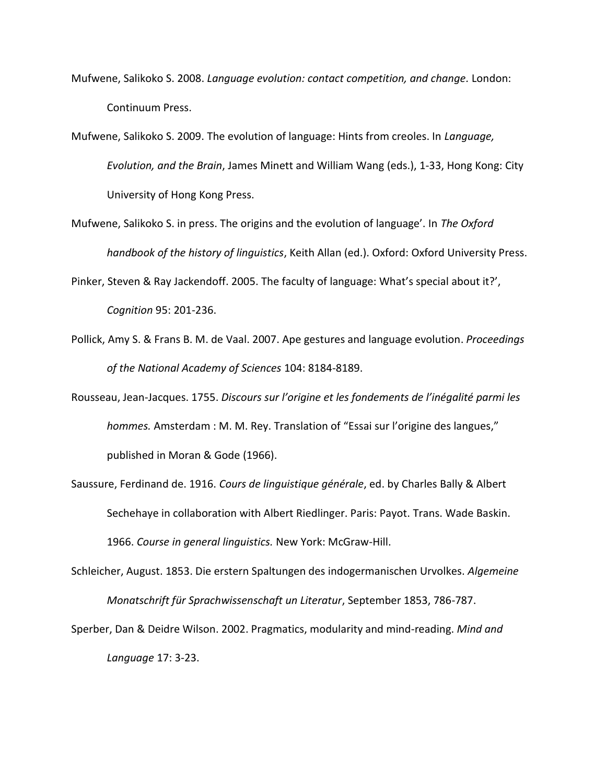- Mufwene, Salikoko S. 2008. *Language evolution: contact competition, and change.* London: Continuum Press.
- Mufwene, Salikoko S. 2009. The evolution of language: Hints from creoles. In *Language, Evolution, and the Brain*, James Minett and William Wang (eds.), 1-33, Hong Kong: City University of Hong Kong Press.
- Mufwene, Salikoko S. in press. The origins and the evolution of language'. In *The Oxford handbook of the history of linguistics*, Keith Allan (ed.). Oxford: Oxford University Press.
- Pinker, Steven & Ray Jackendoff. 2005. The faculty of language: What's special about it?', *Cognition* 95: 201-236.
- Pollick, Amy S. & Frans B. M. de Vaal. 2007. Ape gestures and language evolution. *Proceedings of the National Academy of Sciences* 104: 8184-8189.
- Rousseau, Jean-Jacques. 1755. *Discours sur l'origine et les fondements de l'inégalité parmi les hommes.* Amsterdam : M. M. Rey. Translation of "Essai sur l'origine des langues," published in Moran & Gode (1966).
- Saussure, Ferdinand de. 1916. *Cours de linguistique générale*, ed. by Charles Bally & Albert Sechehaye in collaboration with Albert Riedlinger. Paris: Payot. Trans. Wade Baskin. 1966. *Course in general linguistics.* New York: McGraw-Hill.
- Schleicher, August. 1853. Die erstern Spaltungen des indogermanischen Urvolkes. *Algemeine Monatschrift für Sprachwissenschaft un Literatur*, September 1853, 786-787.
- Sperber, Dan & Deidre Wilson. 2002. Pragmatics, modularity and mind-reading. *Mind and Language* 17: 3-23.